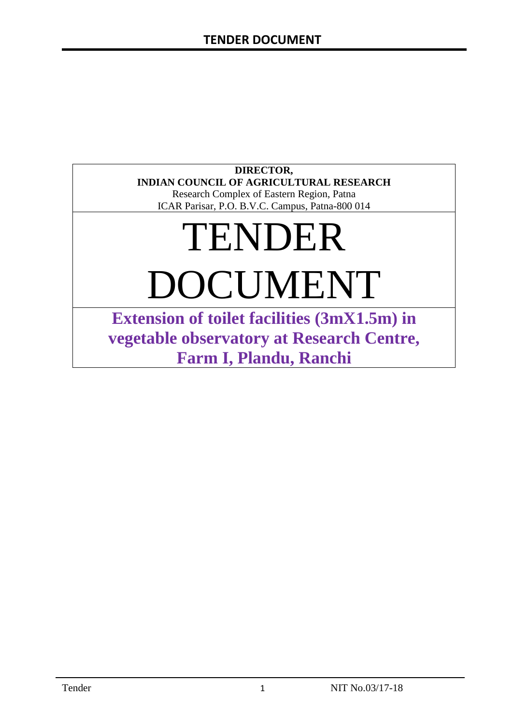### **DIRECTOR, INDIAN COUNCIL OF AGRICULTURAL RESEARCH**

Research Complex of Eastern Region, Patna ICAR Parisar, P.O. B.V.C. Campus, Patna-800 014

# TENDER DOCUMENT

**Extension of toilet facilities (3mX1.5m) in vegetable observatory at Research Centre, Farm I, Plandu, Ranchi**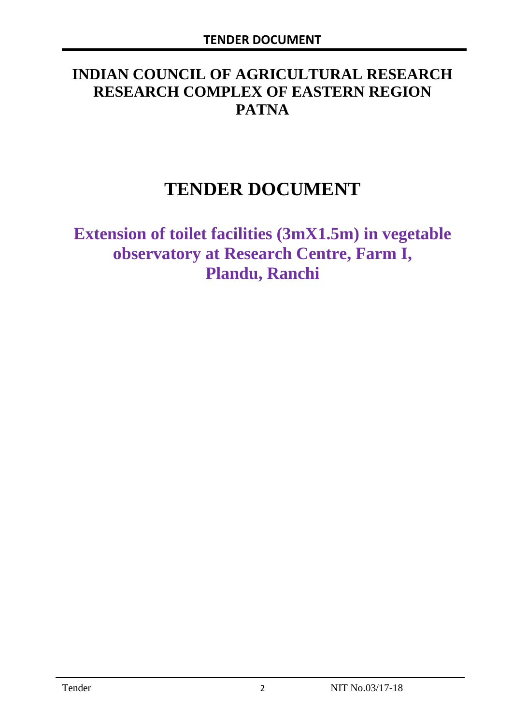# **INDIAN COUNCIL OF AGRICULTURAL RESEARCH RESEARCH COMPLEX OF EASTERN REGION PATNA**

# **TENDER DOCUMENT**

**Extension of toilet facilities (3mX1.5m) in vegetable observatory at Research Centre, Farm I, Plandu, Ranchi**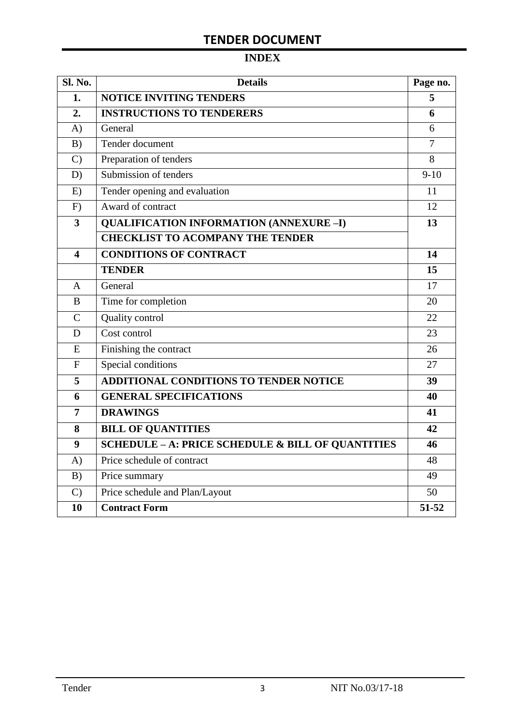# **INDEX**

| Sl. No.                 | <b>Details</b>                                               |        |  |
|-------------------------|--------------------------------------------------------------|--------|--|
| 1.                      | <b>NOTICE INVITING TENDERS</b>                               | 5      |  |
| 2.                      | <b>INSTRUCTIONS TO TENDERERS</b>                             | 6      |  |
| A)                      | General                                                      | 6      |  |
| B)                      | Tender document                                              | 7      |  |
| $\mathcal{C}$           | Preparation of tenders                                       | 8      |  |
| D)                      | Submission of tenders                                        | $9-10$ |  |
| E)                      | Tender opening and evaluation                                | 11     |  |
| F)                      | Award of contract                                            | 12     |  |
| $\overline{\mathbf{3}}$ | <b>QUALIFICATION INFORMATION (ANNEXURE-I)</b>                | 13     |  |
|                         | <b>CHECKLIST TO ACOMPANY THE TENDER</b>                      |        |  |
| $\overline{\mathbf{4}}$ | <b>CONDITIONS OF CONTRACT</b>                                | 14     |  |
|                         | <b>TENDER</b>                                                | 15     |  |
| $\overline{A}$          | General                                                      | 17     |  |
| B                       | Time for completion                                          | 20     |  |
| $\overline{C}$          | Quality control                                              | 22     |  |
| D                       | Cost control                                                 | 23     |  |
| E                       | Finishing the contract                                       | 26     |  |
| $\mathbf{F}$            | Special conditions                                           | 27     |  |
| 5                       | <b>ADDITIONAL CONDITIONS TO TENDER NOTICE</b>                | 39     |  |
| 6                       | <b>GENERAL SPECIFICATIONS</b>                                | 40     |  |
| $\overline{7}$          | <b>DRAWINGS</b>                                              | 41     |  |
| 8                       | <b>BILL OF QUANTITIES</b>                                    | 42     |  |
| 9                       | <b>SCHEDULE - A: PRICE SCHEDULE &amp; BILL OF QUANTITIES</b> | 46     |  |
| A)                      | Price schedule of contract                                   | 48     |  |
| B)                      | Price summary                                                | 49     |  |
| $\mathcal{C}$           | Price schedule and Plan/Layout                               | 50     |  |
| 10                      | <b>Contract Form</b>                                         | 51-52  |  |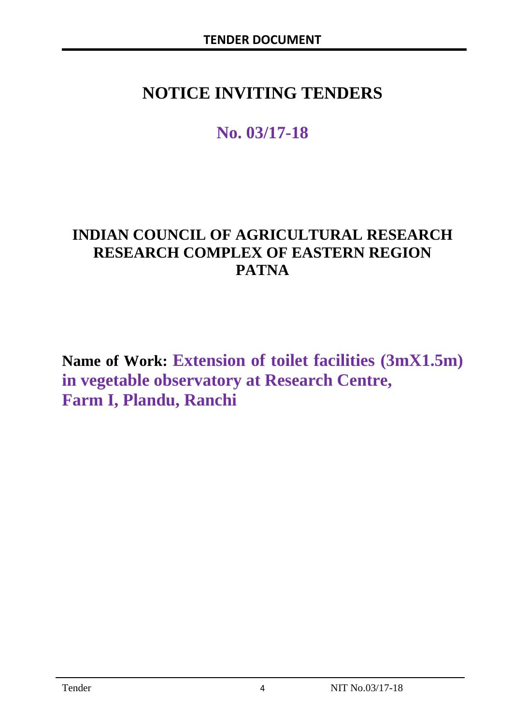# **NOTICE INVITING TENDERS**

# **No. 03/17-18**

# **INDIAN COUNCIL OF AGRICULTURAL RESEARCH RESEARCH COMPLEX OF EASTERN REGION PATNA**

**Name of Work: Extension of toilet facilities (3mX1.5m) in vegetable observatory at Research Centre, Farm I, Plandu, Ranchi**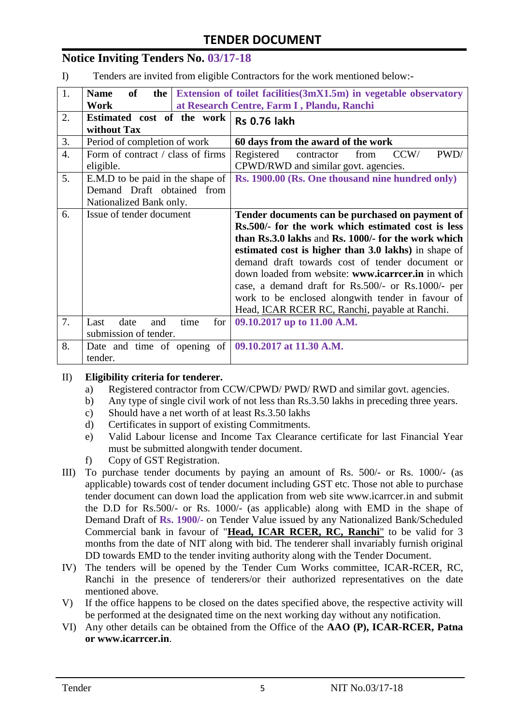### **Notice Inviting Tenders No. 03/17-18**

I) Tenders are invited from eligible Contractors for the work mentioned below:-

| 1.               | Extension of toilet facilities (3mX1.5m) in vegetable observatory<br>of<br><b>Name</b><br>the $\vert$ |                                                                                          |  |  |  |
|------------------|-------------------------------------------------------------------------------------------------------|------------------------------------------------------------------------------------------|--|--|--|
|                  | at Research Centre, Farm I, Plandu, Ranchi<br>Work                                                    |                                                                                          |  |  |  |
| 2.               | Estimated cost of the work<br><b>Rs 0.76 lakh</b><br>without Tax                                      |                                                                                          |  |  |  |
| 3.               | Period of completion of work                                                                          | 60 days from the award of the work                                                       |  |  |  |
| $\overline{4}$ . | Form of contract / class of firms<br>eligible.                                                        | PWD/<br>CCW/<br>Registered<br>contractor<br>from<br>CPWD/RWD and similar govt. agencies. |  |  |  |
| 5.               | E.M.D to be paid in the shape of                                                                      | Rs. 1900.00 (Rs. One thousand nine hundred only)                                         |  |  |  |
|                  | Demand Draft obtained from                                                                            |                                                                                          |  |  |  |
|                  | Nationalized Bank only.                                                                               |                                                                                          |  |  |  |
| 6.               | Issue of tender document                                                                              | Tender documents can be purchased on payment of                                          |  |  |  |
|                  |                                                                                                       | Rs.500/- for the work which estimated cost is less                                       |  |  |  |
|                  |                                                                                                       | than Rs.3.0 lakhs and Rs. 1000/- for the work which                                      |  |  |  |
|                  |                                                                                                       | estimated cost is higher than 3.0 lakhs) in shape of                                     |  |  |  |
|                  |                                                                                                       | demand draft towards cost of tender document or                                          |  |  |  |
|                  |                                                                                                       | down loaded from website: www.icarrcer.in in which                                       |  |  |  |
|                  |                                                                                                       | case, a demand draft for Rs.500/- or Rs.1000/- per                                       |  |  |  |
|                  |                                                                                                       | work to be enclosed alongwith tender in favour of                                        |  |  |  |
|                  |                                                                                                       | Head, <b>ICAR RCER RC, Ranchi</b> , payable at Ranchi.                                   |  |  |  |
| 7.               | date<br>for<br>Last<br>and                                                                            | time<br>09.10.2017 up to 11.00 A.M.                                                      |  |  |  |
|                  | submission of tender.                                                                                 |                                                                                          |  |  |  |
| 8.               | Date and time of opening of $\vert$ 09.10.2017 at 11.30 A.M.                                          |                                                                                          |  |  |  |
|                  | tender.                                                                                               |                                                                                          |  |  |  |

#### II) **Eligibility criteria for tenderer.**

- a) Registered contractor from CCW/CPWD/ PWD/ RWD and similar govt. agencies.
- b) Any type of single civil work of not less than Rs.3.50 lakhs in preceding three years.
- c) Should have a net worth of at least Rs.3.50 lakhs
- d) Certificates in support of existing Commitments.
- e) Valid Labour license and Income Tax Clearance certificate for last Financial Year must be submitted alongwith tender document.
- f) Copy of GST Registration.
- III) To purchase tender documents by paying an amount of Rs. 500/- or Rs. 1000/- (as applicable) towards cost of tender document including GST etc. Those not able to purchase tender document can down load the application from web site www.icarrcer.in and submit the D.D for Rs.500/- or Rs. 1000/- (as applicable) along with EMD in the shape of Demand Draft of **Rs. 1900/-** on Tender Value issued by any Nationalized Bank/Scheduled Commercial bank in favour of "**Head, ICAR RCER, RC, Ranchi**" to be valid for 3 months from the date of NIT along with bid. The tenderer shall invariably furnish original DD towards EMD to the tender inviting authority along with the Tender Document.
- IV) The tenders will be opened by the Tender Cum Works committee, ICAR-RCER, RC, Ranchi in the presence of tenderers/or their authorized representatives on the date mentioned above.
- V) If the office happens to be closed on the dates specified above, the respective activity will be performed at the designated time on the next working day without any notification.
- VI) Any other details can be obtained from the Office of the **AAO (P), ICAR-RCER, Patna or www.icarrcer.in**.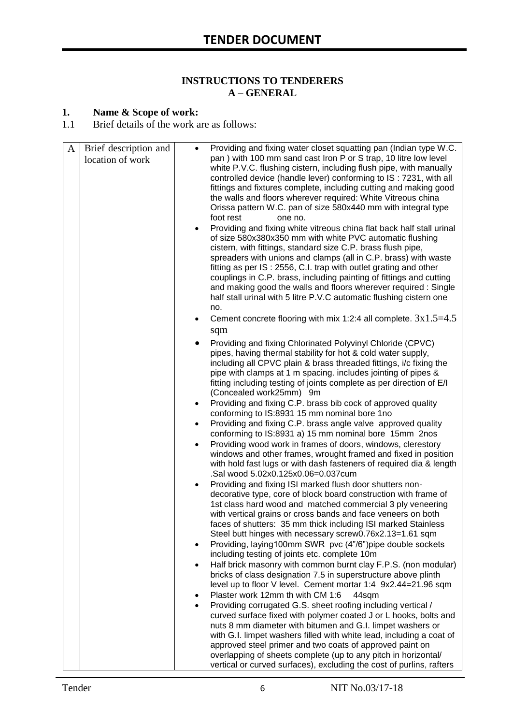#### **INSTRUCTIONS TO TENDERERS A – GENERAL**

#### **1. Name & Scope of work:**

1.1 Brief details of the work are as follows:

| A | Brief description and<br>location of work | $\bullet$<br>$\bullet$<br>$\bullet$<br>$\bullet$<br>$\bullet$<br>٠ | Providing and fixing water closet squatting pan (Indian type W.C.<br>pan) with 100 mm sand cast Iron P or S trap, 10 litre low level<br>white P.V.C. flushing cistern, including flush pipe, with manually<br>controlled device (handle lever) conforming to IS: 7231, with all<br>fittings and fixtures complete, including cutting and making good<br>the walls and floors wherever required: White Vitreous china<br>Orissa pattern W.C. pan of size 580x440 mm with integral type<br>foot rest<br>one no.<br>Providing and fixing white vitreous china flat back half stall urinal<br>of size 580x380x350 mm with white PVC automatic flushing<br>cistern, with fittings, standard size C.P. brass flush pipe,<br>spreaders with unions and clamps (all in C.P. brass) with waste<br>fitting as per IS: 2556, C.I. trap with outlet grating and other<br>couplings in C.P. brass, including painting of fittings and cutting<br>and making good the walls and floors wherever required : Single<br>half stall urinal with 5 litre P.V.C automatic flushing cistern one<br>no.<br>Cement concrete flooring with mix 1:2:4 all complete. $3x1.5=4.5$<br>sqm<br>Providing and fixing Chlorinated Polyvinyl Chloride (CPVC)<br>pipes, having thermal stability for hot & cold water supply,<br>including all CPVC plain & brass threaded fittings, i/c fixing the<br>pipe with clamps at 1 m spacing. includes jointing of pipes &<br>fitting including testing of joints complete as per direction of E/I<br>(Concealed work25mm) 9m<br>Providing and fixing C.P. brass bib cock of approved quality<br>conforming to IS:8931 15 mm nominal bore 1no<br>Providing and fixing C.P. brass angle valve approved quality<br>conforming to IS:8931 a) 15 mm nominal bore 15mm 2nos<br>Providing wood work in frames of doors, windows, clerestory<br>windows and other frames, wrought framed and fixed in position<br>with hold fast lugs or with dash fasteners of required dia & length<br>.Sal wood 5.02x0.125x0.06=0.037cum<br>Providing and fixing ISI marked flush door shutters non-<br>decorative type, core of block board construction with frame of<br>1st class hard wood and matched commercial 3 ply veneering<br>with vertical grains or cross bands and face veneers on both<br>faces of shutters: 35 mm thick including ISI marked Stainless<br>Steel butt hinges with necessary screw0.76x2.13=1.61 sqm<br>Providing, laying100mm SWR pvc (4"/6")pipe double sockets<br>including testing of joints etc. complete 10m<br>Half brick masonry with common burnt clay F.P.S. (non modular)<br>bricks of class designation 7.5 in superstructure above plinth<br>level up to floor V level. Cement mortar 1:4 9x2.44=21.96 sqm<br>Plaster work 12mm th with CM 1:6<br>44sqm<br>Providing corrugated G.S. sheet roofing including vertical /<br>curved surface fixed with polymer coated J or L hooks, bolts and<br>nuts 8 mm diameter with bitumen and G.I. limpet washers or |
|---|-------------------------------------------|--------------------------------------------------------------------|------------------------------------------------------------------------------------------------------------------------------------------------------------------------------------------------------------------------------------------------------------------------------------------------------------------------------------------------------------------------------------------------------------------------------------------------------------------------------------------------------------------------------------------------------------------------------------------------------------------------------------------------------------------------------------------------------------------------------------------------------------------------------------------------------------------------------------------------------------------------------------------------------------------------------------------------------------------------------------------------------------------------------------------------------------------------------------------------------------------------------------------------------------------------------------------------------------------------------------------------------------------------------------------------------------------------------------------------------------------------------------------------------------------------------------------------------------------------------------------------------------------------------------------------------------------------------------------------------------------------------------------------------------------------------------------------------------------------------------------------------------------------------------------------------------------------------------------------------------------------------------------------------------------------------------------------------------------------------------------------------------------------------------------------------------------------------------------------------------------------------------------------------------------------------------------------------------------------------------------------------------------------------------------------------------------------------------------------------------------------------------------------------------------------------------------------------------------------------------------------------------------------------------------------------------------------------------------------------------------------------------------------------------------------------------------------------------------------------------------------------------------------------------------------------------------------------------------------------------------------------------------------------------------------------------------------------------------------------------------|
|   |                                           |                                                                    | with G.I. limpet washers filled with white lead, including a coat of<br>approved steel primer and two coats of approved paint on<br>overlapping of sheets complete (up to any pitch in horizontal/<br>vertical or curved surfaces), excluding the cost of purlins, rafters                                                                                                                                                                                                                                                                                                                                                                                                                                                                                                                                                                                                                                                                                                                                                                                                                                                                                                                                                                                                                                                                                                                                                                                                                                                                                                                                                                                                                                                                                                                                                                                                                                                                                                                                                                                                                                                                                                                                                                                                                                                                                                                                                                                                                                                                                                                                                                                                                                                                                                                                                                                                                                                                                                               |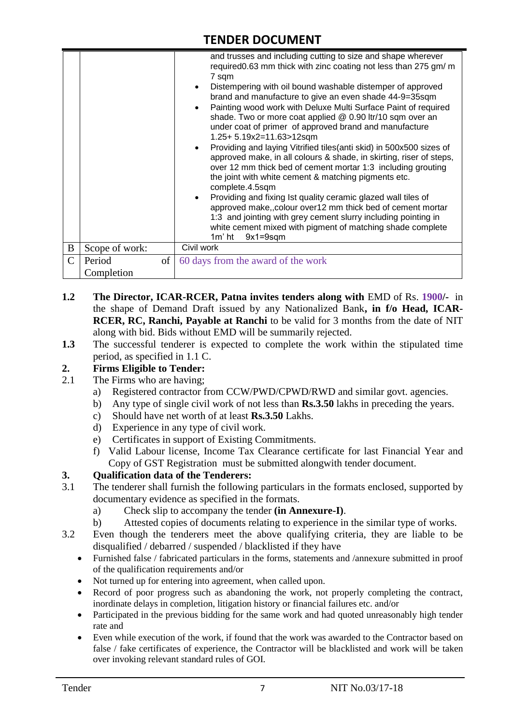|   |                |          | and trusses and including cutting to size and shape wherever<br>required 0.63 mm thick with zinc coating not less than 275 gm/ m<br>7 sqm<br>Distempering with oil bound washable distemper of approved<br>brand and manufacture to give an even shade 44-9=35sqm<br>Painting wood work with Deluxe Multi Surface Paint of required<br>shade. Two or more coat applied @ 0.90 ltr/10 sqm over an<br>under coat of primer of approved brand and manufacture<br>1.25+ 5.19x2=11.63>12sqm<br>Providing and laying Vitrified tiles(anti skid) in 500x500 sizes of<br>approved make, in all colours & shade, in skirting, riser of steps,<br>over 12 mm thick bed of cement mortar 1:3 including grouting<br>the joint with white cement & matching pigments etc.<br>complete.4.5sqm<br>Providing and fixing Ist quality ceramic glazed wall tiles of<br>approved make,, colour over12 mm thick bed of cement mortar<br>1:3 and jointing with grey cement slurry including pointing in<br>white cement mixed with pigment of matching shade complete<br>$9x1 = 9sqm$<br>$1m'$ ht |
|---|----------------|----------|-----------------------------------------------------------------------------------------------------------------------------------------------------------------------------------------------------------------------------------------------------------------------------------------------------------------------------------------------------------------------------------------------------------------------------------------------------------------------------------------------------------------------------------------------------------------------------------------------------------------------------------------------------------------------------------------------------------------------------------------------------------------------------------------------------------------------------------------------------------------------------------------------------------------------------------------------------------------------------------------------------------------------------------------------------------------------------|
| B | Scope of work: |          | Civil work                                                                                                                                                                                                                                                                                                                                                                                                                                                                                                                                                                                                                                                                                                                                                                                                                                                                                                                                                                                                                                                                  |
|   | Period         | $\sigma$ | 60 days from the award of the work                                                                                                                                                                                                                                                                                                                                                                                                                                                                                                                                                                                                                                                                                                                                                                                                                                                                                                                                                                                                                                          |
|   | Completion     |          |                                                                                                                                                                                                                                                                                                                                                                                                                                                                                                                                                                                                                                                                                                                                                                                                                                                                                                                                                                                                                                                                             |

- **1.2 The Director, ICAR-RCER, Patna invites tenders along with** EMD of Rs. **1900/-** in the shape of Demand Draft issued by any Nationalized Bank**, in f/o Head, ICAR-RCER, RC, Ranchi, Payable at Ranchi** to be valid for 3 months from the date of NIT along with bid. Bids without EMD will be summarily rejected.
- **1.3** The successful tenderer is expected to complete the work within the stipulated time period, as specified in 1.1 C.

#### **2. Firms Eligible to Tender:**

- 2.1 The Firms who are having;
	- a) Registered contractor from CCW/PWD/CPWD/RWD and similar govt. agencies.
	- b) Any type of single civil work of not less than **Rs.3.50** lakhs in preceding the years.
	- c) Should have net worth of at least **Rs.3.50** Lakhs.
	- d) Experience in any type of civil work.
	- e) Certificates in support of Existing Commitments.
	- f) Valid Labour license, Income Tax Clearance certificate for last Financial Year and Copy of GST Registration must be submitted alongwith tender document.

#### **3. Qualification data of the Tenderers:**

- 3.1 The tenderer shall furnish the following particulars in the formats enclosed, supported by documentary evidence as specified in the formats.
	- a) Check slip to accompany the tender **(in Annexure-I)**.
	- b) Attested copies of documents relating to experience in the similar type of works.
- 3.2 Even though the tenderers meet the above qualifying criteria, they are liable to be disqualified / debarred / suspended / blacklisted if they have
	- Furnished false / fabricated particulars in the forms, statements and /annexure submitted in proof of the qualification requirements and/or
	- Not turned up for entering into agreement, when called upon.
	- Record of poor progress such as abandoning the work, not properly completing the contract, inordinate delays in completion, litigation history or financial failures etc. and/or
	- Participated in the previous bidding for the same work and had quoted unreasonably high tender rate and
	- Even while execution of the work, if found that the work was awarded to the Contractor based on false / fake certificates of experience, the Contractor will be blacklisted and work will be taken over invoking relevant standard rules of GOI.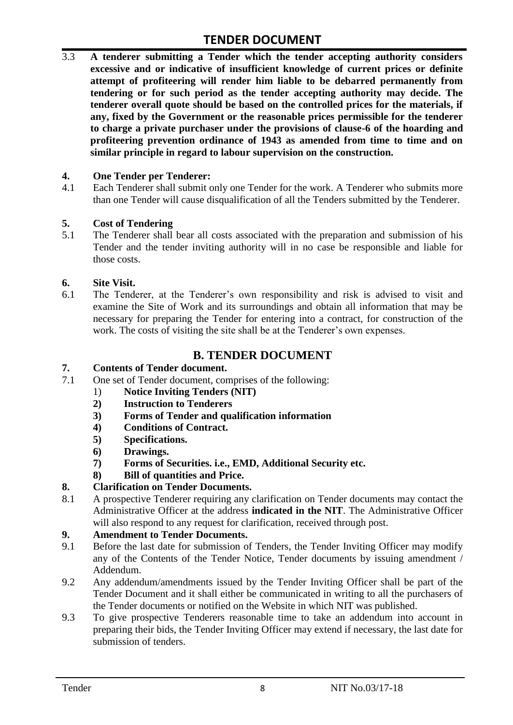3.3 **A tenderer submitting a Tender which the tender accepting authority considers excessive and or indicative of insufficient knowledge of current prices or definite attempt of profiteering will render him liable to be debarred permanently from tendering or for such period as the tender accepting authority may decide. The tenderer overall quote should be based on the controlled prices for the materials, if any, fixed by the Government or the reasonable prices permissible for the tenderer to charge a private purchaser under the provisions of clause-6 of the hoarding and profiteering prevention ordinance of 1943 as amended from time to time and on similar principle in regard to labour supervision on the construction.**

#### **4. One Tender per Tenderer:**

4.1 Each Tenderer shall submit only one Tender for the work. A Tenderer who submits more than one Tender will cause disqualification of all the Tenders submitted by the Tenderer.

#### **5. Cost of Tendering**

5.1 The Tenderer shall bear all costs associated with the preparation and submission of his Tender and the tender inviting authority will in no case be responsible and liable for those costs.

#### **6. Site Visit.**

6.1 The Tenderer, at the Tenderer's own responsibility and risk is advised to visit and examine the Site of Work and its surroundings and obtain all information that may be necessary for preparing the Tender for entering into a contract, for construction of the work. The costs of visiting the site shall be at the Tenderer's own expenses.

#### **B. TENDER DOCUMENT**

#### **7. Contents of Tender document.**

- 7.1 One set of Tender document, comprises of the following:
	- 1) **Notice Inviting Tenders (NIT)**
	- **2) Instruction to Tenderers**
	- **3) Forms of Tender and qualification information**
	- **4) Conditions of Contract.**
	- **5) Specifications.**
	- **6) Drawings.**
	- **7) Forms of Securities. i.e., EMD, Additional Security etc.**
	- **8) Bill of quantities and Price.**

#### **8. Clarification on Tender Documents.**

8.1 A prospective Tenderer requiring any clarification on Tender documents may contact the Administrative Officer at the address **indicated in the NIT**. The Administrative Officer will also respond to any request for clarification, received through post.

#### **9. Amendment to Tender Documents.**

- 9.1 Before the last date for submission of Tenders, the Tender Inviting Officer may modify any of the Contents of the Tender Notice, Tender documents by issuing amendment / Addendum.
- 9.2 Any addendum/amendments issued by the Tender Inviting Officer shall be part of the Tender Document and it shall either be communicated in writing to all the purchasers of the Tender documents or notified on the Website in which NIT was published.
- 9.3 To give prospective Tenderers reasonable time to take an addendum into account in preparing their bids, the Tender Inviting Officer may extend if necessary, the last date for submission of tenders.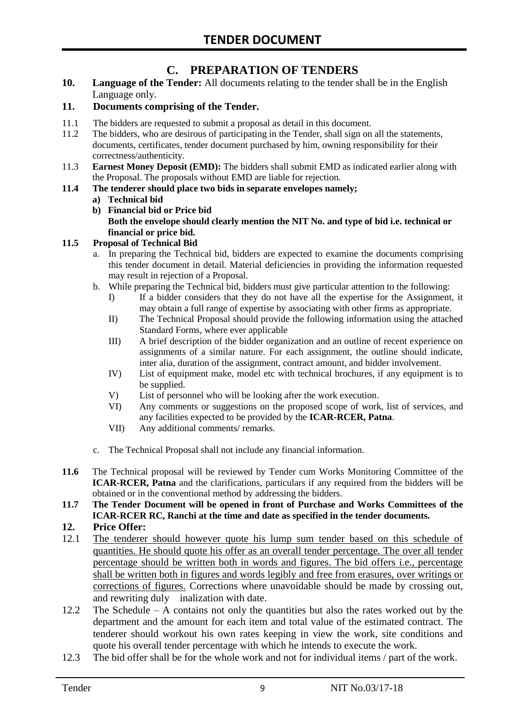# **C. PREPARATION OF TENDERS**

**10. Language of the Tender:** All documents relating to the tender shall be in the English Language only.

#### **11. Documents comprising of the Tender.**

- 11.1 The bidders are requested to submit a proposal as detail in this document.
- 11.2 The bidders, who are desirous of participating in the Tender, shall sign on all the statements, documents, certificates, tender document purchased by him, owning responsibility for their correctness/authenticity.
- 11.3 **Earnest Money Deposit (EMD):** The bidders shall submit EMD as indicated earlier along with the Proposal. The proposals without EMD are liable for rejection.

#### **11.4 The tenderer should place two bids in separate envelopes namely;**

#### **a) Technical bid**

**b) Financial bid or Price bid Both the envelope should clearly mention the NIT No. and type of bid i.e. technical or financial or price bid.**

#### **11.5 Proposal of Technical Bid**

- a. In preparing the Technical bid, bidders are expected to examine the documents comprising this tender document in detail. Material deficiencies in providing the information requested may result in rejection of a Proposal.
- b. While preparing the Technical bid, bidders must give particular attention to the following:
	- I) If a bidder considers that they do not have all the expertise for the Assignment, it may obtain a full range of expertise by associating with other firms as appropriate.
	- II) The Technical Proposal should provide the following information using the attached Standard Forms, where ever applicable
	- III) A brief description of the bidder organization and an outline of recent experience on assignments of a similar nature. For each assignment, the outline should indicate, inter alia, duration of the assignment, contract amount, and bidder involvement.
	- IV) List of equipment make, model etc with technical brochures, if any equipment is to be supplied.
	- V) List of personnel who will be looking after the work execution.
	- VI) Any comments or suggestions on the proposed scope of work, list of services, and any facilities expected to be provided by the **ICAR-RCER, Patna**.
	- VII) Any additional comments/ remarks.
- c. The Technical Proposal shall not include any financial information.
- **11.6** The Technical proposal will be reviewed by Tender cum Works Monitoring Committee of the **ICAR-RCER, Patna** and the clarifications, particulars if any required from the bidders will be obtained or in the conventional method by addressing the bidders.
- **11.7 The Tender Document will be opened in front of Purchase and Works Committees of the ICAR-RCER RC, Ranchi at the time and date as specified in the tender documents.**

#### **12. Price Offer:**

- 12.1 The tenderer should however quote his lump sum tender based on this schedule of quantities. He should quote his offer as an overall tender percentage. The over all tender percentage should be written both in words and figures. The bid offers i.e., percentage shall be written both in figures and words legibly and free from erasures, over writings or corrections of figures. Corrections where unavoidable should be made by crossing out, and rewriting duly inalization with date.
- 12.2 The Schedule A contains not only the quantities but also the rates worked out by the department and the amount for each item and total value of the estimated contract. The tenderer should workout his own rates keeping in view the work, site conditions and quote his overall tender percentage with which he intends to execute the work.
- 12.3 The bid offer shall be for the whole work and not for individual items / part of the work.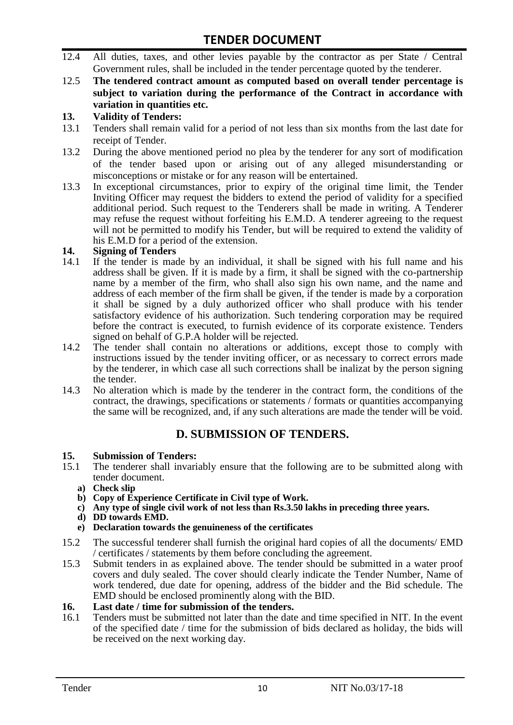- 12.4 All duties, taxes, and other levies payable by the contractor as per State / Central Government rules, shall be included in the tender percentage quoted by the tenderer.
- 12.5 **The tendered contract amount as computed based on overall tender percentage is subject to variation during the performance of the Contract in accordance with variation in quantities etc.**

#### **13. Validity of Tenders:**

- 13.1 Tenders shall remain valid for a period of not less than six months from the last date for receipt of Tender.
- 13.2 During the above mentioned period no plea by the tenderer for any sort of modification of the tender based upon or arising out of any alleged misunderstanding or misconceptions or mistake or for any reason will be entertained.
- 13.3 In exceptional circumstances, prior to expiry of the original time limit, the Tender Inviting Officer may request the bidders to extend the period of validity for a specified additional period. Such request to the Tenderers shall be made in writing. A Tenderer may refuse the request without forfeiting his E.M.D. A tenderer agreeing to the request will not be permitted to modify his Tender, but will be required to extend the validity of his E.M.D for a period of the extension.

#### **14. Signing of Tenders**

- 14.1 If the tender is made by an individual, it shall be signed with his full name and his address shall be given. If it is made by a firm, it shall be signed with the co-partnership name by a member of the firm, who shall also sign his own name, and the name and address of each member of the firm shall be given, if the tender is made by a corporation it shall be signed by a duly authorized officer who shall produce with his tender satisfactory evidence of his authorization. Such tendering corporation may be required before the contract is executed, to furnish evidence of its corporate existence. Tenders signed on behalf of G.P.A holder will be rejected.
- 14.2 The tender shall contain no alterations or additions, except those to comply with instructions issued by the tender inviting officer, or as necessary to correct errors made by the tenderer, in which case all such corrections shall be inalizat by the person signing the tender.
- 14.3 No alteration which is made by the tenderer in the contract form, the conditions of the contract, the drawings, specifications or statements / formats or quantities accompanying the same will be recognized, and, if any such alterations are made the tender will be void.

# **D. SUBMISSION OF TENDERS.**

# **15. Submission of Tenders:**

- 15.1 The tenderer shall invariably ensure that the following are to be submitted along with tender document.
	- **a) Check slip**
	- **b) Copy of Experience Certificate in Civil type of Work.**
	- **c) Any type of single civil work of not less than Rs.3.50 lakhs in preceding three years.**
	- **d) DD towards EMD.**
	- **e) Declaration towards the genuineness of the certificates**
- 15.2 The successful tenderer shall furnish the original hard copies of all the documents/ EMD / certificates / statements by them before concluding the agreement.
- 15.3 Submit tenders in as explained above. The tender should be submitted in a water proof covers and duly sealed. The cover should clearly indicate the Tender Number, Name of work tendered, due date for opening, address of the bidder and the Bid schedule. The EMD should be enclosed prominently along with the BID.

# **16. Last date / time for submission of the tenders.**<br>**16.1** Tenders must be submitted not later than the date

16.1 Tenders must be submitted not later than the date and time specified in NIT. In the event of the specified date / time for the submission of bids declared as holiday, the bids will be received on the next working day.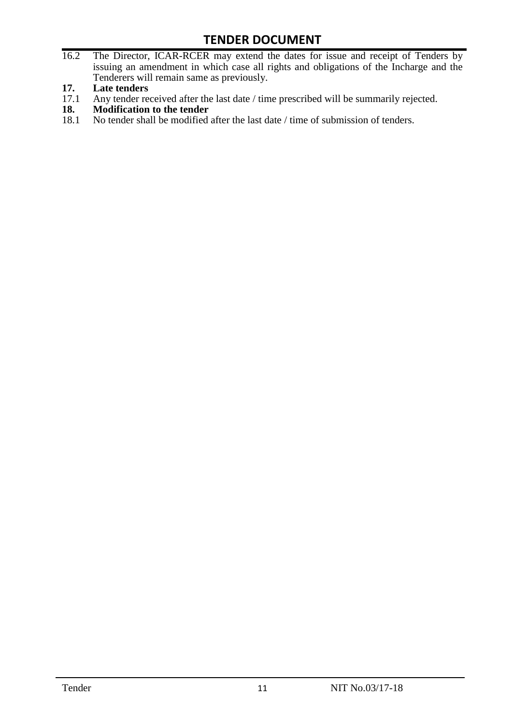- 16.2 The Director, ICAR-RCER may extend the dates for issue and receipt of Tenders by issuing an amendment in which case all rights and obligations of the Incharge and the Tenderers will remain same as previously.
- **17. Late tenders**
- 17.1 Any tender received after the last date / time prescribed will be summarily rejected.<br>18. Modification to the tender
- **18. Modification to the tender**<br>18.1 No tender shall be modified
- No tender shall be modified after the last date / time of submission of tenders.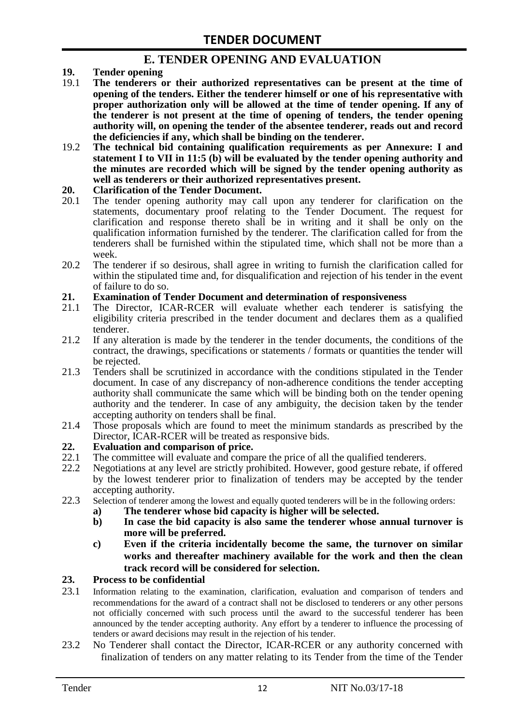### **E. TENDER OPENING AND EVALUATION**

- **19. Tender opening**
- 19.1 **The tenderers or their authorized representatives can be present at the time of opening of the tenders. Either the tenderer himself or one of his representative with proper authorization only will be allowed at the time of tender opening. If any of the tenderer is not present at the time of opening of tenders, the tender opening authority will, on opening the tender of the absentee tenderer, reads out and record the deficiencies if any, which shall be binding on the tenderer.**
- 19.2 **The technical bid containing qualification requirements as per Annexure: I and statement I to VII in 11:5 (b) will be evaluated by the tender opening authority and the minutes are recorded which will be signed by the tender opening authority as well as tenderers or their authorized representatives present.**

#### **20. Clarification of the Tender Document.**

- 20.1 The tender opening authority may call upon any tenderer for clarification on the statements, documentary proof relating to the Tender Document. The request for clarification and response thereto shall be in writing and it shall be only on the qualification information furnished by the tenderer. The clarification called for from the tenderers shall be furnished within the stipulated time, which shall not be more than a week.
- 20.2 The tenderer if so desirous, shall agree in writing to furnish the clarification called for within the stipulated time and, for disqualification and rejection of his tender in the event of failure to do so.

# **21. Examination of Tender Document and determination of responsiveness**

- 21.1 The Director, ICAR-RCER will evaluate whether each tenderer is satisfying the eligibility criteria prescribed in the tender document and declares them as a qualified tenderer.
- 21.2 If any alteration is made by the tenderer in the tender documents, the conditions of the contract, the drawings, specifications or statements / formats or quantities the tender will be rejected.
- 21.3 Tenders shall be scrutinized in accordance with the conditions stipulated in the Tender document. In case of any discrepancy of non-adherence conditions the tender accepting authority shall communicate the same which will be binding both on the tender opening authority and the tenderer. In case of any ambiguity, the decision taken by the tender accepting authority on tenders shall be final.
- 21.4 Those proposals which are found to meet the minimum standards as prescribed by the Director, ICAR-RCER will be treated as responsive bids.

# **22. Evaluation and comparison of price.**

- The committee will evaluate and compare the price of all the qualified tenderers.
- 22.2 Negotiations at any level are strictly prohibited. However, good gesture rebate, if offered by the lowest tenderer prior to finalization of tenders may be accepted by the tender accepting authority.
- 22.3 Selection of tenderer among the lowest and equally quoted tenderers will be in the following orders:
	- **a) The tenderer whose bid capacity is higher will be selected.**
	- **b) In case the bid capacity is also same the tenderer whose annual turnover is more will be preferred.**
	- **c) Even if the criteria incidentally become the same, the turnover on similar works and thereafter machinery available for the work and then the clean track record will be considered for selection.**

#### **23. Process to be confidential**

- 23.1 Information relating to the examination, clarification, evaluation and comparison of tenders and recommendations for the award of a contract shall not be disclosed to tenderers or any other persons not officially concerned with such process until the award to the successful tenderer has been announced by the tender accepting authority. Any effort by a tenderer to influence the processing of tenders or award decisions may result in the rejection of his tender.
- 23.2 No Tenderer shall contact the Director, ICAR-RCER or any authority concerned with finalization of tenders on any matter relating to its Tender from the time of the Tender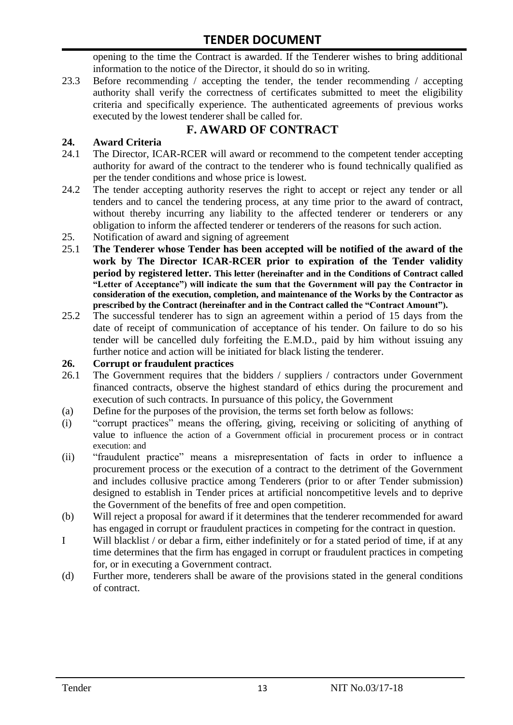opening to the time the Contract is awarded. If the Tenderer wishes to bring additional information to the notice of the Director, it should do so in writing.

23.3 Before recommending / accepting the tender, the tender recommending / accepting authority shall verify the correctness of certificates submitted to meet the eligibility criteria and specifically experience. The authenticated agreements of previous works executed by the lowest tenderer shall be called for.

# **F. AWARD OF CONTRACT**

#### **24. Award Criteria**

- 24.1 The Director, ICAR-RCER will award or recommend to the competent tender accepting authority for award of the contract to the tenderer who is found technically qualified as per the tender conditions and whose price is lowest.
- 24.2 The tender accepting authority reserves the right to accept or reject any tender or all tenders and to cancel the tendering process, at any time prior to the award of contract, without thereby incurring any liability to the affected tenderer or tenderers or any obligation to inform the affected tenderer or tenderers of the reasons for such action.
- 25. Notification of award and signing of agreement
- 25.1 **The Tenderer whose Tender has been accepted will be notified of the award of the work by The Director ICAR-RCER prior to expiration of the Tender validity period by registered letter. This letter (hereinafter and in the Conditions of Contract called "Letter of Acceptance") will indicate the sum that the Government will pay the Contractor in consideration of the execution, completion, and maintenance of the Works by the Contractor as prescribed by the Contract (hereinafter and in the Contract called the "Contract Amount").**
- 25.2 The successful tenderer has to sign an agreement within a period of 15 days from the date of receipt of communication of acceptance of his tender. On failure to do so his tender will be cancelled duly forfeiting the E.M.D., paid by him without issuing any further notice and action will be initiated for black listing the tenderer.

#### **26. Corrupt or fraudulent practices**

- 26.1 The Government requires that the bidders / suppliers / contractors under Government financed contracts, observe the highest standard of ethics during the procurement and execution of such contracts. In pursuance of this policy, the Government
- (a) Define for the purposes of the provision, the terms set forth below as follows:
- (i) "corrupt practices" means the offering, giving, receiving or soliciting of anything of value to influence the action of a Government official in procurement process or in contract execution: and
- (ii) "fraudulent practice" means a misrepresentation of facts in order to influence a procurement process or the execution of a contract to the detriment of the Government and includes collusive practice among Tenderers (prior to or after Tender submission) designed to establish in Tender prices at artificial noncompetitive levels and to deprive the Government of the benefits of free and open competition.
- (b) Will reject a proposal for award if it determines that the tenderer recommended for award has engaged in corrupt or fraudulent practices in competing for the contract in question.
- I Will blacklist / or debar a firm, either indefinitely or for a stated period of time, if at any time determines that the firm has engaged in corrupt or fraudulent practices in competing for, or in executing a Government contract.
- (d) Further more, tenderers shall be aware of the provisions stated in the general conditions of contract.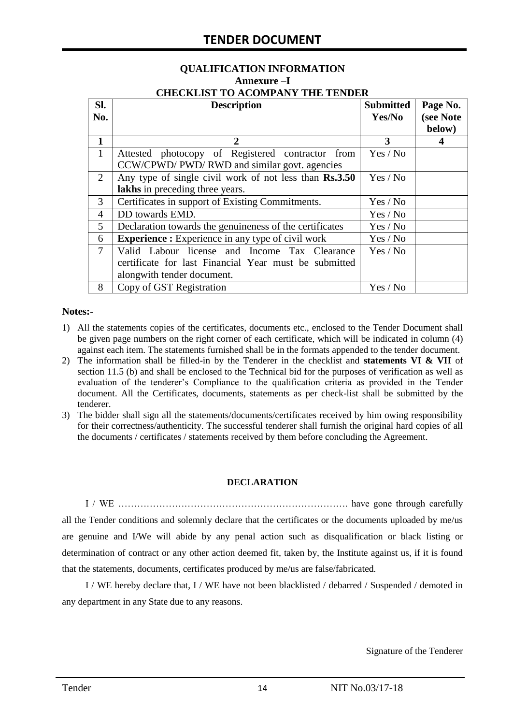#### **QUALIFICATION INFORMATION Annexure –I CHECKLIST TO ACOMPANY THE TENDER**

| Sl.            | <b>Description</b>                                       | <b>Submitted</b> | Page No.  |  |  |  |  |
|----------------|----------------------------------------------------------|------------------|-----------|--|--|--|--|
| No.            |                                                          | Yes/No           | (see Note |  |  |  |  |
|                |                                                          |                  | below)    |  |  |  |  |
| 1              | 2                                                        | 3                |           |  |  |  |  |
| $\mathbf{1}$   | Attested photocopy of Registered contractor from         | Yes / No         |           |  |  |  |  |
|                | CCW/CPWD/ PWD/ RWD and similar govt. agencies            |                  |           |  |  |  |  |
| 2              | Any type of single civil work of not less than Rs.3.50   | Yes / No         |           |  |  |  |  |
|                | lakhs in preceding three years.                          |                  |           |  |  |  |  |
| 3              | Certificates in support of Existing Commitments.         | Yes / No         |           |  |  |  |  |
| 4              | DD towards EMD.                                          | Yes / No         |           |  |  |  |  |
| 5              | Declaration towards the genuineness of the certificates  | Yes / No         |           |  |  |  |  |
| 6              | <b>Experience :</b> Experience in any type of civil work | Yes / No         |           |  |  |  |  |
| $\overline{7}$ | Valid Labour license and Income Tax Clearance            | Yes / No         |           |  |  |  |  |
|                | certificate for last Financial Year must be submitted    |                  |           |  |  |  |  |
|                | alongwith tender document.                               |                  |           |  |  |  |  |
| 8              | Copy of GST Registration                                 | Yes / No         |           |  |  |  |  |

#### **Notes:-**

- 1) All the statements copies of the certificates, documents etc., enclosed to the Tender Document shall be given page numbers on the right corner of each certificate, which will be indicated in column (4) against each item. The statements furnished shall be in the formats appended to the tender document.
- 2) The information shall be filled-in by the Tenderer in the checklist and **statements VI & VII** of section 11.5 (b) and shall be enclosed to the Technical bid for the purposes of verification as well as evaluation of the tenderer's Compliance to the qualification criteria as provided in the Tender document. All the Certificates, documents, statements as per check-list shall be submitted by the tenderer.
- 3) The bidder shall sign all the statements/documents/certificates received by him owing responsibility for their correctness/authenticity. The successful tenderer shall furnish the original hard copies of all the documents / certificates / statements received by them before concluding the Agreement.

#### **DECLARATION**

I / WE ………………………………………………………………. have gone through carefully all the Tender conditions and solemnly declare that the certificates or the documents uploaded by me/us are genuine and I/We will abide by any penal action such as disqualification or black listing or determination of contract or any other action deemed fit, taken by, the Institute against us, if it is found that the statements, documents, certificates produced by me/us are false/fabricated.

I / WE hereby declare that, I / WE have not been blacklisted / debarred / Suspended / demoted in any department in any State due to any reasons.

Signature of the Tenderer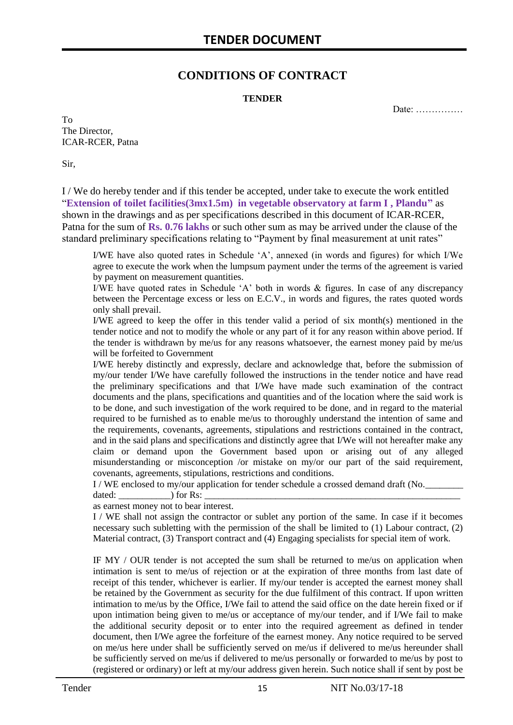### **CONDITIONS OF CONTRACT**

#### **TENDER**

Date: ……………

To The Director, ICAR-RCER, Patna

Sir,

I / We do hereby tender and if this tender be accepted, under take to execute the work entitled "**Extension of toilet facilities(3mx1.5m) in vegetable observatory at farm I , Plandu"** as shown in the drawings and as per specifications described in this document of ICAR-RCER, Patna for the sum of **Rs. 0.76 lakhs** or such other sum as may be arrived under the clause of the standard preliminary specifications relating to "Payment by final measurement at unit rates"

I/WE have also quoted rates in Schedule 'A', annexed (in words and figures) for which I/We agree to execute the work when the lumpsum payment under the terms of the agreement is varied by payment on measurement quantities.

I/WE have quoted rates in Schedule 'A' both in words & figures. In case of any discrepancy between the Percentage excess or less on E.C.V., in words and figures, the rates quoted words only shall prevail.

I/WE agreed to keep the offer in this tender valid a period of six month(s) mentioned in the tender notice and not to modify the whole or any part of it for any reason within above period. If the tender is withdrawn by me/us for any reasons whatsoever, the earnest money paid by me/us will be forfeited to Government

I/WE hereby distinctly and expressly, declare and acknowledge that, before the submission of my/our tender I/We have carefully followed the instructions in the tender notice and have read the preliminary specifications and that I/We have made such examination of the contract documents and the plans, specifications and quantities and of the location where the said work is to be done, and such investigation of the work required to be done, and in regard to the material required to be furnished as to enable me/us to thoroughly understand the intention of same and the requirements, covenants, agreements, stipulations and restrictions contained in the contract, and in the said plans and specifications and distinctly agree that I/We will not hereafter make any claim or demand upon the Government based upon or arising out of any alleged misunderstanding or misconception /or mistake on my/or our part of the said requirement, covenants, agreements, stipulations, restrictions and conditions.

I / WE enclosed to my/our application for tender schedule a crossed demand draft (No.

dated: \_\_\_\_\_\_\_\_\_\_\_) for Rs: \_\_\_\_\_\_\_\_\_\_\_\_\_\_\_\_\_\_\_\_\_\_\_\_\_\_\_\_\_\_\_\_\_\_\_\_\_\_\_\_\_\_\_\_\_\_\_\_\_\_\_\_\_\_ as earnest money not to bear interest.

I / WE shall not assign the contractor or sublet any portion of the same. In case if it becomes necessary such subletting with the permission of the shall be limited to (1) Labour contract, (2) Material contract, (3) Transport contract and (4) Engaging specialists for special item of work.

IF MY / OUR tender is not accepted the sum shall be returned to me/us on application when intimation is sent to me/us of rejection or at the expiration of three months from last date of receipt of this tender, whichever is earlier. If my/our tender is accepted the earnest money shall be retained by the Government as security for the due fulfilment of this contract. If upon written intimation to me/us by the Office, I/We fail to attend the said office on the date herein fixed or if upon intimation being given to me/us or acceptance of my/our tender, and if I/We fail to make the additional security deposit or to enter into the required agreement as defined in tender document, then I/We agree the forfeiture of the earnest money. Any notice required to be served on me/us here under shall be sufficiently served on me/us if delivered to me/us hereunder shall be sufficiently served on me/us if delivered to me/us personally or forwarded to me/us by post to (registered or ordinary) or left at my/our address given herein. Such notice shall if sent by post be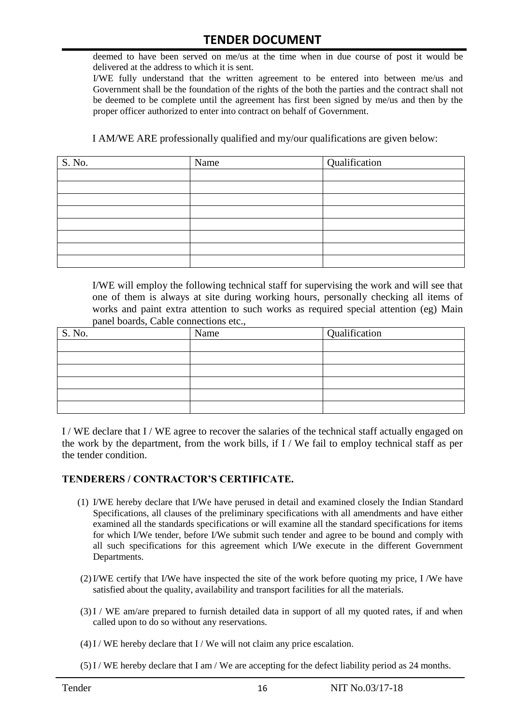deemed to have been served on me/us at the time when in due course of post it would be delivered at the address to which it is sent.

I/WE fully understand that the written agreement to be entered into between me/us and Government shall be the foundation of the rights of the both the parties and the contract shall not be deemed to be complete until the agreement has first been signed by me/us and then by the proper officer authorized to enter into contract on behalf of Government.

I AM/WE ARE professionally qualified and my/our qualifications are given below:

| S. No. | Name | Qualification |
|--------|------|---------------|
|        |      |               |
|        |      |               |
|        |      |               |
|        |      |               |
|        |      |               |
|        |      |               |
|        |      |               |
|        |      |               |

I/WE will employ the following technical staff for supervising the work and will see that one of them is always at site during working hours, personally checking all items of works and paint extra attention to such works as required special attention (eg) Main panel boards, Cable connections etc.,

| S. No. | Name | Qualification |
|--------|------|---------------|
|        |      |               |
|        |      |               |
|        |      |               |
|        |      |               |
|        |      |               |
|        |      |               |

I / WE declare that I / WE agree to recover the salaries of the technical staff actually engaged on the work by the department, from the work bills, if I / We fail to employ technical staff as per the tender condition.

#### **TENDERERS / CONTRACTOR'S CERTIFICATE.**

- (1) I/WE hereby declare that I/We have perused in detail and examined closely the Indian Standard Specifications, all clauses of the preliminary specifications with all amendments and have either examined all the standards specifications or will examine all the standard specifications for items for which I/We tender, before I/We submit such tender and agree to be bound and comply with all such specifications for this agreement which I/We execute in the different Government Departments.
- (2)I/WE certify that I/We have inspected the site of the work before quoting my price, I /We have satisfied about the quality, availability and transport facilities for all the materials.
- (3)I / WE am/are prepared to furnish detailed data in support of all my quoted rates, if and when called upon to do so without any reservations.
- $(4)$  I / WE hereby declare that I / We will not claim any price escalation.
- (5)I / WE hereby declare that I am / We are accepting for the defect liability period as 24 months.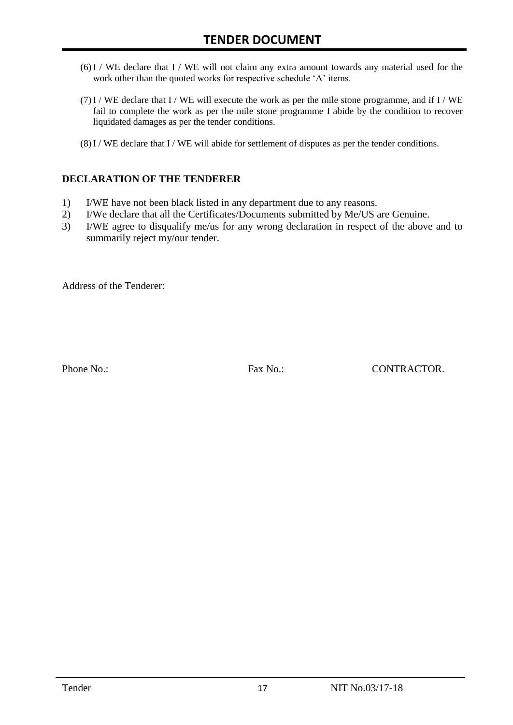- (6)I / WE declare that I / WE will not claim any extra amount towards any material used for the work other than the quoted works for respective schedule 'A' items.
- $(7)$  I / WE declare that I / WE will execute the work as per the mile stone programme, and if I / WE fail to complete the work as per the mile stone programme I abide by the condition to recover liquidated damages as per the tender conditions.
- (8)I / WE declare that I / WE will abide for settlement of disputes as per the tender conditions.

#### **DECLARATION OF THE TENDERER**

- 1) I/WE have not been black listed in any department due to any reasons.
- 2) I/We declare that all the Certificates/Documents submitted by Me/US are Genuine.
- 3) I/WE agree to disqualify me/us for any wrong declaration in respect of the above and to summarily reject my/our tender.

Address of the Tenderer:

Phone No.: Fax No.: Fax No.: CONTRACTOR.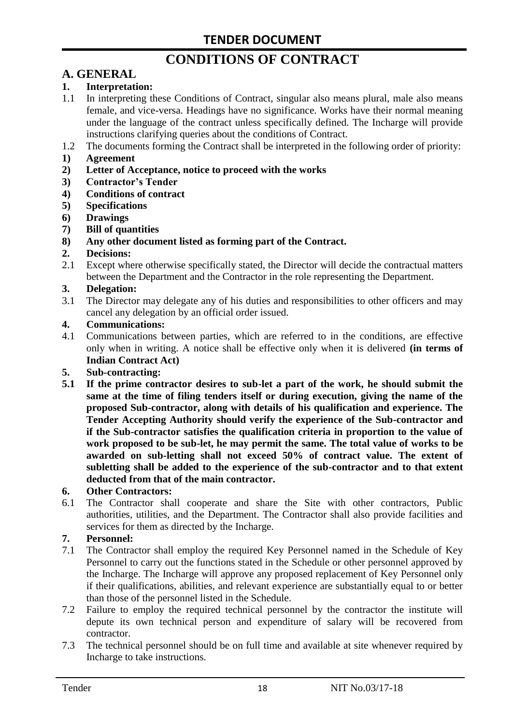# **CONDITIONS OF CONTRACT**

# **A. GENERAL**

#### **1. Interpretation:**

- 1.1 In interpreting these Conditions of Contract, singular also means plural, male also means female, and vice-versa. Headings have no significance. Works have their normal meaning under the language of the contract unless specifically defined. The Incharge will provide instructions clarifying queries about the conditions of Contract.
- 1.2 The documents forming the Contract shall be interpreted in the following order of priority:
- **1) Agreement**
- **2) Letter of Acceptance, notice to proceed with the works**
- **3) Contractor's Tender**
- **4) Conditions of contract**
- **5) Specifications**
- **6) Drawings**
- **7) Bill of quantities**
- **8) Any other document listed as forming part of the Contract.**

#### **2. Decisions:**

2.1 Except where otherwise specifically stated, the Director will decide the contractual matters between the Department and the Contractor in the role representing the Department.

#### **3. Delegation:**

3.1 The Director may delegate any of his duties and responsibilities to other officers and may cancel any delegation by an official order issued.

#### **4. Communications:**

4.1 Communications between parties, which are referred to in the conditions, are effective only when in writing. A notice shall be effective only when it is delivered **(in terms of Indian Contract Act)**

#### **5. Sub-contracting:**

**5.1 If the prime contractor desires to sub-let a part of the work, he should submit the same at the time of filing tenders itself or during execution, giving the name of the proposed Sub-contractor, along with details of his qualification and experience. The Tender Accepting Authority should verify the experience of the Sub-contractor and if the Sub-contractor satisfies the qualification criteria in proportion to the value of work proposed to be sub-let, he may permit the same. The total value of works to be awarded on sub-letting shall not exceed 50% of contract value. The extent of subletting shall be added to the experience of the sub-contractor and to that extent deducted from that of the main contractor.**

#### **6. Other Contractors:**

6.1 The Contractor shall cooperate and share the Site with other contractors, Public authorities, utilities, and the Department. The Contractor shall also provide facilities and services for them as directed by the Incharge.

#### **7. Personnel:**

- 7.1 The Contractor shall employ the required Key Personnel named in the Schedule of Key Personnel to carry out the functions stated in the Schedule or other personnel approved by the Incharge. The Incharge will approve any proposed replacement of Key Personnel only if their qualifications, abilities, and relevant experience are substantially equal to or better than those of the personnel listed in the Schedule.
- 7.2 Failure to employ the required technical personnel by the contractor the institute will depute its own technical person and expenditure of salary will be recovered from contractor.
- 7.3 The technical personnel should be on full time and available at site whenever required by Incharge to take instructions.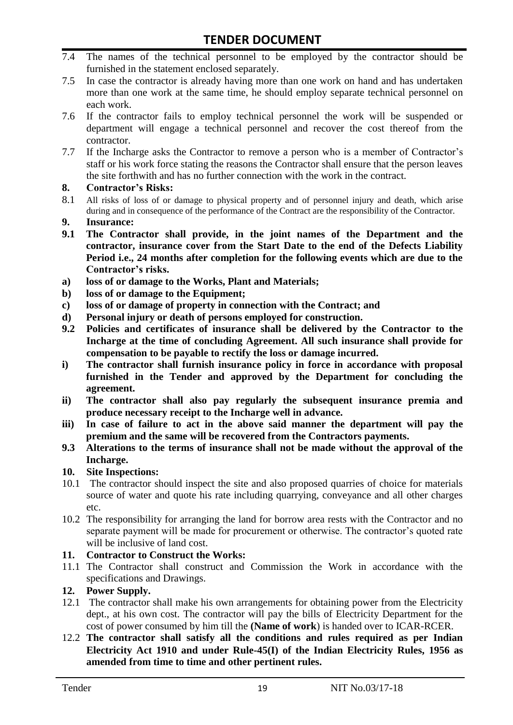- 7.4 The names of the technical personnel to be employed by the contractor should be furnished in the statement enclosed separately.
- 7.5 In case the contractor is already having more than one work on hand and has undertaken more than one work at the same time, he should employ separate technical personnel on each work.
- 7.6 If the contractor fails to employ technical personnel the work will be suspended or department will engage a technical personnel and recover the cost thereof from the contractor.
- 7.7 If the Incharge asks the Contractor to remove a person who is a member of Contractor's staff or his work force stating the reasons the Contractor shall ensure that the person leaves the site forthwith and has no further connection with the work in the contract.

#### **8. Contractor's Risks:**

- 8.1 All risks of loss of or damage to physical property and of personnel injury and death, which arise during and in consequence of the performance of the Contract are the responsibility of the Contractor.
- **9. Insurance:**
- **9.1 The Contractor shall provide, in the joint names of the Department and the contractor, insurance cover from the Start Date to the end of the Defects Liability Period i.e., 24 months after completion for the following events which are due to the Contractor's risks.**
- **a) loss of or damage to the Works, Plant and Materials;**
- **b) loss of or damage to the Equipment;**
- **c) loss of or damage of property in connection with the Contract; and**
- **d) Personal injury or death of persons employed for construction.**
- **9.2 Policies and certificates of insurance shall be delivered by the Contractor to the Incharge at the time of concluding Agreement. All such insurance shall provide for compensation to be payable to rectify the loss or damage incurred.**
- **i) The contractor shall furnish insurance policy in force in accordance with proposal furnished in the Tender and approved by the Department for concluding the agreement.**
- **ii) The contractor shall also pay regularly the subsequent insurance premia and produce necessary receipt to the Incharge well in advance.**
- **iii) In case of failure to act in the above said manner the department will pay the premium and the same will be recovered from the Contractors payments.**
- **9.3 Alterations to the terms of insurance shall not be made without the approval of the Incharge.**

#### **10. Site Inspections:**

- 10.1 The contractor should inspect the site and also proposed quarries of choice for materials source of water and quote his rate including quarrying, conveyance and all other charges etc.
- 10.2 The responsibility for arranging the land for borrow area rests with the Contractor and no separate payment will be made for procurement or otherwise. The contractor's quoted rate will be inclusive of land cost.

#### **11. Contractor to Construct the Works:**

11.1 The Contractor shall construct and Commission the Work in accordance with the specifications and Drawings.

#### **12. Power Supply.**

- 12.1 The contractor shall make his own arrangements for obtaining power from the Electricity dept., at his own cost. The contractor will pay the bills of Electricity Department for the cost of power consumed by him till the **(Name of work**) is handed over to ICAR-RCER.
- 12.2 **The contractor shall satisfy all the conditions and rules required as per Indian Electricity Act 1910 and under Rule-45(I) of the Indian Electricity Rules, 1956 as amended from time to time and other pertinent rules.**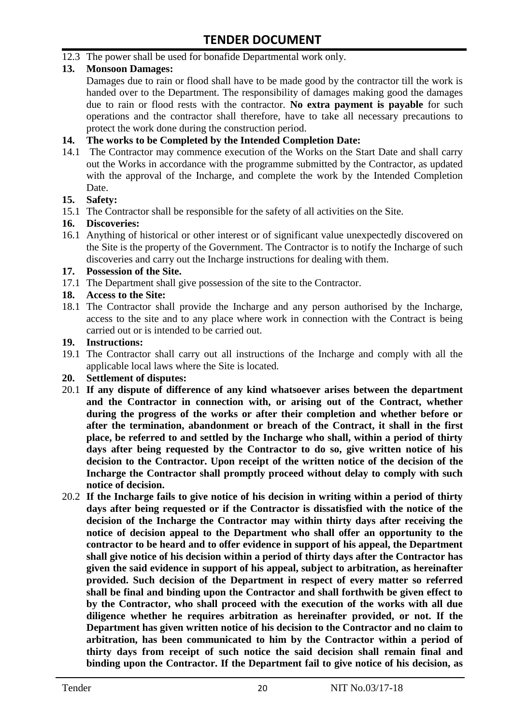12.3 The power shall be used for bonafide Departmental work only.

#### **13. Monsoon Damages:**

Damages due to rain or flood shall have to be made good by the contractor till the work is handed over to the Department. The responsibility of damages making good the damages due to rain or flood rests with the contractor. **No extra payment is payable** for such operations and the contractor shall therefore, have to take all necessary precautions to protect the work done during the construction period.

#### **14. The works to be Completed by the Intended Completion Date:**

14.1 The Contractor may commence execution of the Works on the Start Date and shall carry out the Works in accordance with the programme submitted by the Contractor, as updated with the approval of the Incharge, and complete the work by the Intended Completion Date.

#### **15. Safety:**

15.1 The Contractor shall be responsible for the safety of all activities on the Site.

#### **16. Discoveries:**

16.1 Anything of historical or other interest or of significant value unexpectedly discovered on the Site is the property of the Government. The Contractor is to notify the Incharge of such discoveries and carry out the Incharge instructions for dealing with them.

#### **17. Possession of the Site.**

17.1 The Department shall give possession of the site to the Contractor.

#### **18. Access to the Site:**

18.1 The Contractor shall provide the Incharge and any person authorised by the Incharge, access to the site and to any place where work in connection with the Contract is being carried out or is intended to be carried out.

#### **19. Instructions:**

- 19.1 The Contractor shall carry out all instructions of the Incharge and comply with all the applicable local laws where the Site is located.
- **20. Settlement of disputes:**
- 20.1 **If any dispute of difference of any kind whatsoever arises between the department and the Contractor in connection with, or arising out of the Contract, whether during the progress of the works or after their completion and whether before or after the termination, abandonment or breach of the Contract, it shall in the first place, be referred to and settled by the Incharge who shall, within a period of thirty days after being requested by the Contractor to do so, give written notice of his decision to the Contractor. Upon receipt of the written notice of the decision of the Incharge the Contractor shall promptly proceed without delay to comply with such notice of decision.**
- 20.2 **If the Incharge fails to give notice of his decision in writing within a period of thirty days after being requested or if the Contractor is dissatisfied with the notice of the decision of the Incharge the Contractor may within thirty days after receiving the notice of decision appeal to the Department who shall offer an opportunity to the contractor to be heard and to offer evidence in support of his appeal, the Department shall give notice of his decision within a period of thirty days after the Contractor has given the said evidence in support of his appeal, subject to arbitration, as hereinafter provided. Such decision of the Department in respect of every matter so referred shall be final and binding upon the Contractor and shall forthwith be given effect to by the Contractor, who shall proceed with the execution of the works with all due diligence whether he requires arbitration as hereinafter provided, or not. If the Department has given written notice of his decision to the Contractor and no claim to arbitration, has been communicated to him by the Contractor within a period of thirty days from receipt of such notice the said decision shall remain final and binding upon the Contractor. If the Department fail to give notice of his decision, as**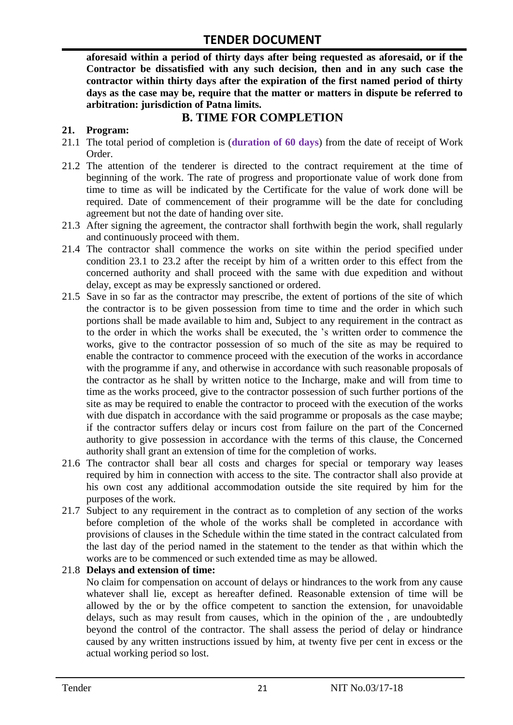**aforesaid within a period of thirty days after being requested as aforesaid, or if the Contractor be dissatisfied with any such decision, then and in any such case the contractor within thirty days after the expiration of the first named period of thirty days as the case may be, require that the matter or matters in dispute be referred to arbitration: jurisdiction of Patna limits.**

# **B. TIME FOR COMPLETION**

#### **21. Program:**

- 21.1 The total period of completion is (**duration of 60 days**) from the date of receipt of Work Order.
- 21.2 The attention of the tenderer is directed to the contract requirement at the time of beginning of the work. The rate of progress and proportionate value of work done from time to time as will be indicated by the Certificate for the value of work done will be required. Date of commencement of their programme will be the date for concluding agreement but not the date of handing over site.
- 21.3 After signing the agreement, the contractor shall forthwith begin the work, shall regularly and continuously proceed with them.
- 21.4 The contractor shall commence the works on site within the period specified under condition 23.1 to 23.2 after the receipt by him of a written order to this effect from the concerned authority and shall proceed with the same with due expedition and without delay, except as may be expressly sanctioned or ordered.
- 21.5 Save in so far as the contractor may prescribe, the extent of portions of the site of which the contractor is to be given possession from time to time and the order in which such portions shall be made available to him and, Subject to any requirement in the contract as to the order in which the works shall be executed, the 's written order to commence the works, give to the contractor possession of so much of the site as may be required to enable the contractor to commence proceed with the execution of the works in accordance with the programme if any, and otherwise in accordance with such reasonable proposals of the contractor as he shall by written notice to the Incharge, make and will from time to time as the works proceed, give to the contractor possession of such further portions of the site as may be required to enable the contractor to proceed with the execution of the works with due dispatch in accordance with the said programme or proposals as the case maybe; if the contractor suffers delay or incurs cost from failure on the part of the Concerned authority to give possession in accordance with the terms of this clause, the Concerned authority shall grant an extension of time for the completion of works.
- 21.6 The contractor shall bear all costs and charges for special or temporary way leases required by him in connection with access to the site. The contractor shall also provide at his own cost any additional accommodation outside the site required by him for the purposes of the work.
- 21.7 Subject to any requirement in the contract as to completion of any section of the works before completion of the whole of the works shall be completed in accordance with provisions of clauses in the Schedule within the time stated in the contract calculated from the last day of the period named in the statement to the tender as that within which the works are to be commenced or such extended time as may be allowed.

#### 21.8 **Delays and extension of time:**

No claim for compensation on account of delays or hindrances to the work from any cause whatever shall lie, except as hereafter defined. Reasonable extension of time will be allowed by the or by the office competent to sanction the extension, for unavoidable delays, such as may result from causes, which in the opinion of the , are undoubtedly beyond the control of the contractor. The shall assess the period of delay or hindrance caused by any written instructions issued by him, at twenty five per cent in excess or the actual working period so lost.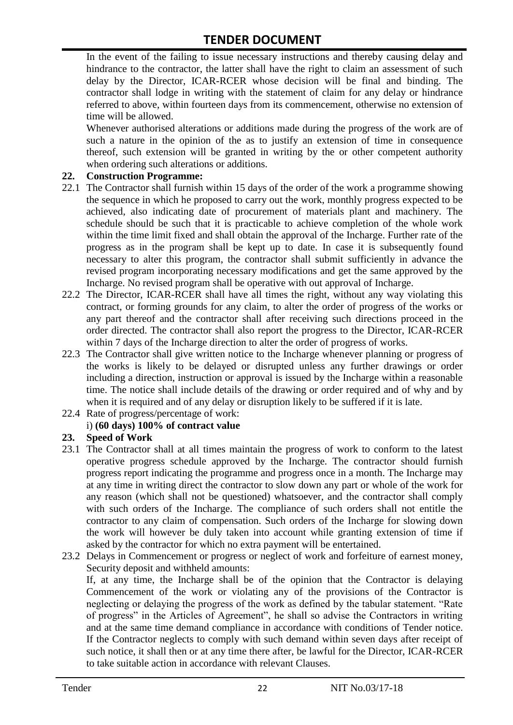In the event of the failing to issue necessary instructions and thereby causing delay and hindrance to the contractor, the latter shall have the right to claim an assessment of such delay by the Director, ICAR-RCER whose decision will be final and binding. The contractor shall lodge in writing with the statement of claim for any delay or hindrance referred to above, within fourteen days from its commencement, otherwise no extension of time will be allowed.

Whenever authorised alterations or additions made during the progress of the work are of such a nature in the opinion of the as to justify an extension of time in consequence thereof, such extension will be granted in writing by the or other competent authority when ordering such alterations or additions.

#### **22. Construction Programme:**

- 22.1 The Contractor shall furnish within 15 days of the order of the work a programme showing the sequence in which he proposed to carry out the work, monthly progress expected to be achieved, also indicating date of procurement of materials plant and machinery. The schedule should be such that it is practicable to achieve completion of the whole work within the time limit fixed and shall obtain the approval of the Incharge. Further rate of the progress as in the program shall be kept up to date. In case it is subsequently found necessary to alter this program, the contractor shall submit sufficiently in advance the revised program incorporating necessary modifications and get the same approved by the Incharge. No revised program shall be operative with out approval of Incharge.
- 22.2 The Director, ICAR-RCER shall have all times the right, without any way violating this contract, or forming grounds for any claim, to alter the order of progress of the works or any part thereof and the contractor shall after receiving such directions proceed in the order directed. The contractor shall also report the progress to the Director, ICAR-RCER within 7 days of the Incharge direction to alter the order of progress of works.
- 22.3 The Contractor shall give written notice to the Incharge whenever planning or progress of the works is likely to be delayed or disrupted unless any further drawings or order including a direction, instruction or approval is issued by the Incharge within a reasonable time. The notice shall include details of the drawing or order required and of why and by when it is required and of any delay or disruption likely to be suffered if it is late.
- 22.4 Rate of progress/percentage of work:

#### i) **(60 days) 100% of contract value**

#### **23. Speed of Work**

- 23.1 The Contractor shall at all times maintain the progress of work to conform to the latest operative progress schedule approved by the Incharge. The contractor should furnish progress report indicating the programme and progress once in a month. The Incharge may at any time in writing direct the contractor to slow down any part or whole of the work for any reason (which shall not be questioned) whatsoever, and the contractor shall comply with such orders of the Incharge. The compliance of such orders shall not entitle the contractor to any claim of compensation. Such orders of the Incharge for slowing down the work will however be duly taken into account while granting extension of time if asked by the contractor for which no extra payment will be entertained.
- 23.2 Delays in Commencement or progress or neglect of work and forfeiture of earnest money, Security deposit and withheld amounts:

If, at any time, the Incharge shall be of the opinion that the Contractor is delaying Commencement of the work or violating any of the provisions of the Contractor is neglecting or delaying the progress of the work as defined by the tabular statement. "Rate of progress" in the Articles of Agreement", he shall so advise the Contractors in writing and at the same time demand compliance in accordance with conditions of Tender notice. If the Contractor neglects to comply with such demand within seven days after receipt of such notice, it shall then or at any time there after, be lawful for the Director, ICAR-RCER to take suitable action in accordance with relevant Clauses.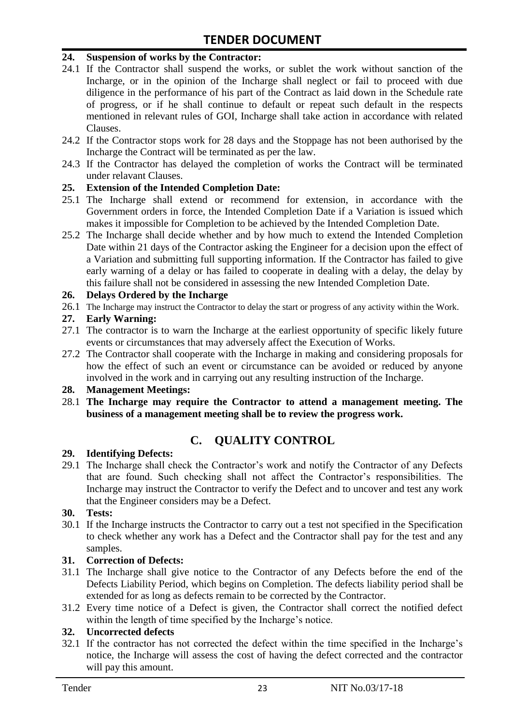#### **24. Suspension of works by the Contractor:**

- 24.1 If the Contractor shall suspend the works, or sublet the work without sanction of the Incharge, or in the opinion of the Incharge shall neglect or fail to proceed with due diligence in the performance of his part of the Contract as laid down in the Schedule rate of progress, or if he shall continue to default or repeat such default in the respects mentioned in relevant rules of GOI, Incharge shall take action in accordance with related Clauses.
- 24.2 If the Contractor stops work for 28 days and the Stoppage has not been authorised by the Incharge the Contract will be terminated as per the law.
- 24.3 If the Contractor has delayed the completion of works the Contract will be terminated under relavant Clauses.

#### **25. Extension of the Intended Completion Date:**

- 25.1 The Incharge shall extend or recommend for extension, in accordance with the Government orders in force, the Intended Completion Date if a Variation is issued which makes it impossible for Completion to be achieved by the Intended Completion Date.
- 25.2 The Incharge shall decide whether and by how much to extend the Intended Completion Date within 21 days of the Contractor asking the Engineer for a decision upon the effect of a Variation and submitting full supporting information. If the Contractor has failed to give early warning of a delay or has failed to cooperate in dealing with a delay, the delay by this failure shall not be considered in assessing the new Intended Completion Date.

#### **26. Delays Ordered by the Incharge**

26.1 The Incharge may instruct the Contractor to delay the start or progress of any activity within the Work.

#### **27. Early Warning:**

- 27.1 The contractor is to warn the Incharge at the earliest opportunity of specific likely future events or circumstances that may adversely affect the Execution of Works.
- 27.2 The Contractor shall cooperate with the Incharge in making and considering proposals for how the effect of such an event or circumstance can be avoided or reduced by anyone involved in the work and in carrying out any resulting instruction of the Incharge.

#### **28. Management Meetings:**

28.1 **The Incharge may require the Contractor to attend a management meeting. The business of a management meeting shall be to review the progress work.**

# **C. QUALITY CONTROL**

#### **29. Identifying Defects:**

29.1 The Incharge shall check the Contractor's work and notify the Contractor of any Defects that are found. Such checking shall not affect the Contractor's responsibilities. The Incharge may instruct the Contractor to verify the Defect and to uncover and test any work that the Engineer considers may be a Defect.

#### **30. Tests:**

30.1 If the Incharge instructs the Contractor to carry out a test not specified in the Specification to check whether any work has a Defect and the Contractor shall pay for the test and any samples.

#### **31. Correction of Defects:**

- 31.1 The Incharge shall give notice to the Contractor of any Defects before the end of the Defects Liability Period, which begins on Completion. The defects liability period shall be extended for as long as defects remain to be corrected by the Contractor.
- 31.2 Every time notice of a Defect is given, the Contractor shall correct the notified defect within the length of time specified by the Incharge's notice.

#### **32. Uncorrected defects**

32.1 If the contractor has not corrected the defect within the time specified in the Incharge's notice, the Incharge will assess the cost of having the defect corrected and the contractor will pay this amount.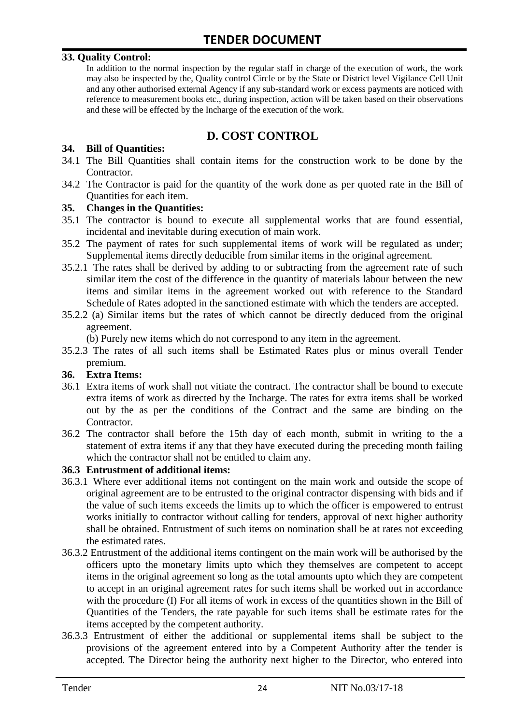#### **33. Quality Control:**

In addition to the normal inspection by the regular staff in charge of the execution of work, the work may also be inspected by the, Quality control Circle or by the State or District level Vigilance Cell Unit and any other authorised external Agency if any sub-standard work or excess payments are noticed with reference to measurement books etc., during inspection, action will be taken based on their observations and these will be effected by the Incharge of the execution of the work.

# **D. COST CONTROL**

#### **34. Bill of Quantities:**

- 34.1 The Bill Quantities shall contain items for the construction work to be done by the Contractor.
- 34.2 The Contractor is paid for the quantity of the work done as per quoted rate in the Bill of Quantities for each item.

#### **35. Changes in the Quantities:**

- 35.1 The contractor is bound to execute all supplemental works that are found essential, incidental and inevitable during execution of main work.
- 35.2 The payment of rates for such supplemental items of work will be regulated as under; Supplemental items directly deducible from similar items in the original agreement.
- 35.2.1 The rates shall be derived by adding to or subtracting from the agreement rate of such similar item the cost of the difference in the quantity of materials labour between the new items and similar items in the agreement worked out with reference to the Standard Schedule of Rates adopted in the sanctioned estimate with which the tenders are accepted.
- 35.2.2 (a) Similar items but the rates of which cannot be directly deduced from the original agreement.

(b) Purely new items which do not correspond to any item in the agreement.

35.2.3 The rates of all such items shall be Estimated Rates plus or minus overall Tender premium.

#### **36. Extra Items:**

- 36.1 Extra items of work shall not vitiate the contract. The contractor shall be bound to execute extra items of work as directed by the Incharge. The rates for extra items shall be worked out by the as per the conditions of the Contract and the same are binding on the Contractor.
- 36.2 The contractor shall before the 15th day of each month, submit in writing to the a statement of extra items if any that they have executed during the preceding month failing which the contractor shall not be entitled to claim any.

#### **36.3 Entrustment of additional items:**

- 36.3.1 Where ever additional items not contingent on the main work and outside the scope of original agreement are to be entrusted to the original contractor dispensing with bids and if the value of such items exceeds the limits up to which the officer is empowered to entrust works initially to contractor without calling for tenders, approval of next higher authority shall be obtained. Entrustment of such items on nomination shall be at rates not exceeding the estimated rates.
- 36.3.2 Entrustment of the additional items contingent on the main work will be authorised by the officers upto the monetary limits upto which they themselves are competent to accept items in the original agreement so long as the total amounts upto which they are competent to accept in an original agreement rates for such items shall be worked out in accordance with the procedure (I) For all items of work in excess of the quantities shown in the Bill of Quantities of the Tenders, the rate payable for such items shall be estimate rates for the items accepted by the competent authority.
- 36.3.3 Entrustment of either the additional or supplemental items shall be subject to the provisions of the agreement entered into by a Competent Authority after the tender is accepted. The Director being the authority next higher to the Director, who entered into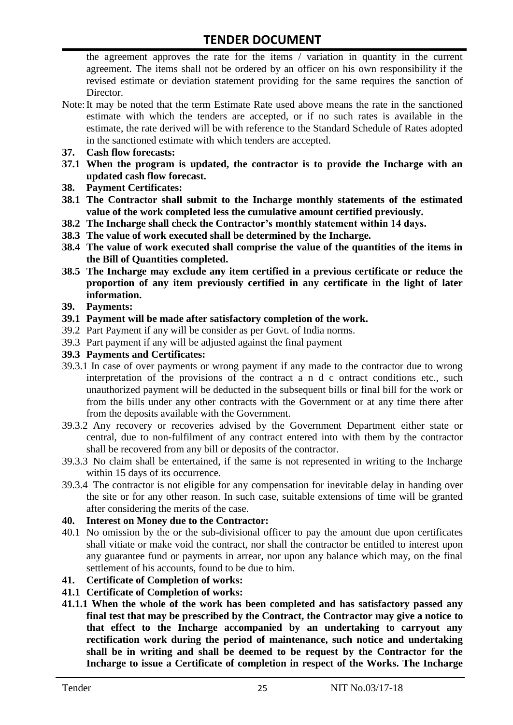the agreement approves the rate for the items / variation in quantity in the current agreement. The items shall not be ordered by an officer on his own responsibility if the revised estimate or deviation statement providing for the same requires the sanction of Director.

- Note:It may be noted that the term Estimate Rate used above means the rate in the sanctioned estimate with which the tenders are accepted, or if no such rates is available in the estimate, the rate derived will be with reference to the Standard Schedule of Rates adopted in the sanctioned estimate with which tenders are accepted.
- **37. Cash flow forecasts:**
- **37.1 When the program is updated, the contractor is to provide the Incharge with an updated cash flow forecast.**
- **38. Payment Certificates:**
- **38.1 The Contractor shall submit to the Incharge monthly statements of the estimated value of the work completed less the cumulative amount certified previously.**
- **38.2 The Incharge shall check the Contractor's monthly statement within 14 days.**
- **38.3 The value of work executed shall be determined by the Incharge.**
- **38.4 The value of work executed shall comprise the value of the quantities of the items in the Bill of Quantities completed.**
- **38.5 The Incharge may exclude any item certified in a previous certificate or reduce the proportion of any item previously certified in any certificate in the light of later information.**
- **39. Payments:**
- **39.1 Payment will be made after satisfactory completion of the work.**
- 39.2 Part Payment if any will be consider as per Govt. of India norms.
- 39.3 Part payment if any will be adjusted against the final payment
- **39.3 Payments and Certificates:**
- 39.3.1 In case of over payments or wrong payment if any made to the contractor due to wrong interpretation of the provisions of the contract a n d c ontract conditions etc., such unauthorized payment will be deducted in the subsequent bills or final bill for the work or from the bills under any other contracts with the Government or at any time there after from the deposits available with the Government.
- 39.3.2 Any recovery or recoveries advised by the Government Department either state or central, due to non-fulfilment of any contract entered into with them by the contractor shall be recovered from any bill or deposits of the contractor.
- 39.3.3 No claim shall be entertained, if the same is not represented in writing to the Incharge within 15 days of its occurrence.
- 39.3.4 The contractor is not eligible for any compensation for inevitable delay in handing over the site or for any other reason. In such case, suitable extensions of time will be granted after considering the merits of the case.

#### **40. Interest on Money due to the Contractor:**

- 40.1 No omission by the or the sub-divisional officer to pay the amount due upon certificates shall vitiate or make void the contract, nor shall the contractor be entitled to interest upon any guarantee fund or payments in arrear, nor upon any balance which may, on the final settlement of his accounts, found to be due to him.
- **41. Certificate of Completion of works:**
- **41.1 Certificate of Completion of works:**
- **41.1.1 When the whole of the work has been completed and has satisfactory passed any final test that may be prescribed by the Contract, the Contractor may give a notice to that effect to the Incharge accompanied by an undertaking to carryout any rectification work during the period of maintenance, such notice and undertaking shall be in writing and shall be deemed to be request by the Contractor for the Incharge to issue a Certificate of completion in respect of the Works. The Incharge**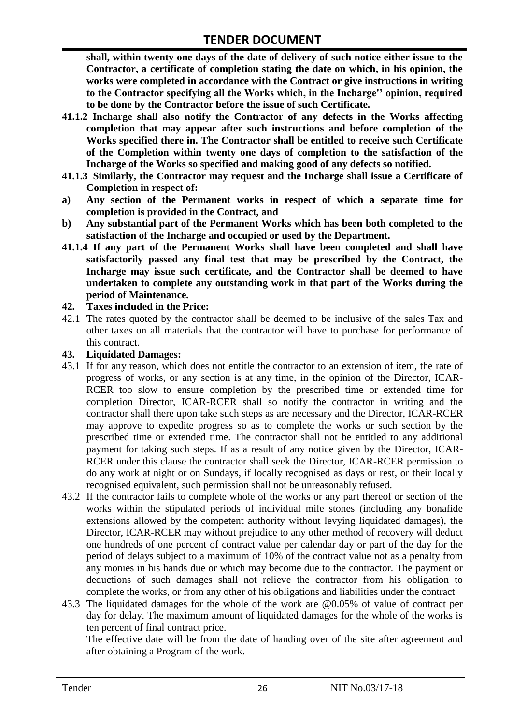**shall, within twenty one days of the date of delivery of such notice either issue to the Contractor, a certificate of completion stating the date on which, in his opinion, the works were completed in accordance with the Contract or give instructions in writing to the Contractor specifying all the Works which, in the Incharge'' opinion, required to be done by the Contractor before the issue of such Certificate.**

- **41.1.2 Incharge shall also notify the Contractor of any defects in the Works affecting completion that may appear after such instructions and before completion of the Works specified there in. The Contractor shall be entitled to receive such Certificate of the Completion within twenty one days of completion to the satisfaction of the Incharge of the Works so specified and making good of any defects so notified.**
- **41.1.3 Similarly, the Contractor may request and the Incharge shall issue a Certificate of Completion in respect of:**
- **a) Any section of the Permanent works in respect of which a separate time for completion is provided in the Contract, and**
- **b) Any substantial part of the Permanent Works which has been both completed to the satisfaction of the Incharge and occupied or used by the Department.**
- **41.1.4 If any part of the Permanent Works shall have been completed and shall have satisfactorily passed any final test that may be prescribed by the Contract, the Incharge may issue such certificate, and the Contractor shall be deemed to have undertaken to complete any outstanding work in that part of the Works during the period of Maintenance.**

#### **42. Taxes included in the Price:**

42.1 The rates quoted by the contractor shall be deemed to be inclusive of the sales Tax and other taxes on all materials that the contractor will have to purchase for performance of this contract.

#### **43. Liquidated Damages:**

- 43.1 If for any reason, which does not entitle the contractor to an extension of item, the rate of progress of works, or any section is at any time, in the opinion of the Director, ICAR-RCER too slow to ensure completion by the prescribed time or extended time for completion Director, ICAR-RCER shall so notify the contractor in writing and the contractor shall there upon take such steps as are necessary and the Director, ICAR-RCER may approve to expedite progress so as to complete the works or such section by the prescribed time or extended time. The contractor shall not be entitled to any additional payment for taking such steps. If as a result of any notice given by the Director, ICAR-RCER under this clause the contractor shall seek the Director, ICAR-RCER permission to do any work at night or on Sundays, if locally recognised as days or rest, or their locally recognised equivalent, such permission shall not be unreasonably refused.
- 43.2 If the contractor fails to complete whole of the works or any part thereof or section of the works within the stipulated periods of individual mile stones (including any bonafide extensions allowed by the competent authority without levying liquidated damages), the Director, ICAR-RCER may without prejudice to any other method of recovery will deduct one hundreds of one percent of contract value per calendar day or part of the day for the period of delays subject to a maximum of 10% of the contract value not as a penalty from any monies in his hands due or which may become due to the contractor. The payment or deductions of such damages shall not relieve the contractor from his obligation to complete the works, or from any other of his obligations and liabilities under the contract
- 43.3 The liquidated damages for the whole of the work are @0.05% of value of contract per day for delay. The maximum amount of liquidated damages for the whole of the works is ten percent of final contract price.

The effective date will be from the date of handing over of the site after agreement and after obtaining a Program of the work.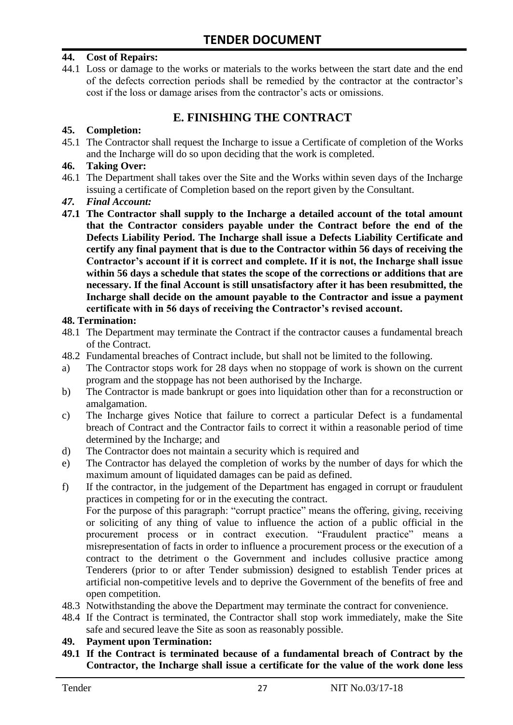#### **44. Cost of Repairs:**

44.1 Loss or damage to the works or materials to the works between the start date and the end of the defects correction periods shall be remedied by the contractor at the contractor's cost if the loss or damage arises from the contractor's acts or omissions.

# **E. FINISHING THE CONTRACT**

#### **45. Completion:**

45.1 The Contractor shall request the Incharge to issue a Certificate of completion of the Works and the Incharge will do so upon deciding that the work is completed.

#### **46. Taking Over:**

- 46.1 The Department shall takes over the Site and the Works within seven days of the Incharge issuing a certificate of Completion based on the report given by the Consultant.
- *47. Final Account:*
- **47.1 The Contractor shall supply to the Incharge a detailed account of the total amount that the Contractor considers payable under the Contract before the end of the Defects Liability Period. The Incharge shall issue a Defects Liability Certificate and certify any final payment that is due to the Contractor within 56 days of receiving the Contractor's account if it is correct and complete. If it is not, the Incharge shall issue within 56 days a schedule that states the scope of the corrections or additions that are necessary. If the final Account is still unsatisfactory after it has been resubmitted, the Incharge shall decide on the amount payable to the Contractor and issue a payment certificate with in 56 days of receiving the Contractor's revised account.**

#### **48. Termination:**

- 48.1 The Department may terminate the Contract if the contractor causes a fundamental breach of the Contract.
- 48.2 Fundamental breaches of Contract include, but shall not be limited to the following.
- a) The Contractor stops work for 28 days when no stoppage of work is shown on the current program and the stoppage has not been authorised by the Incharge.
- b) The Contractor is made bankrupt or goes into liquidation other than for a reconstruction or amalgamation.
- c) The Incharge gives Notice that failure to correct a particular Defect is a fundamental breach of Contract and the Contractor fails to correct it within a reasonable period of time determined by the Incharge; and
- d) The Contractor does not maintain a security which is required and
- e) The Contractor has delayed the completion of works by the number of days for which the maximum amount of liquidated damages can be paid as defined.
- f) If the contractor, in the judgement of the Department has engaged in corrupt or fraudulent practices in competing for or in the executing the contract.

For the purpose of this paragraph: "corrupt practice" means the offering, giving, receiving or soliciting of any thing of value to influence the action of a public official in the procurement process or in contract execution. "Fraudulent practice" means a misrepresentation of facts in order to influence a procurement process or the execution of a contract to the detriment o the Government and includes collusive practice among Tenderers (prior to or after Tender submission) designed to establish Tender prices at artificial non-competitive levels and to deprive the Government of the benefits of free and open competition.

- 48.3 Notwithstanding the above the Department may terminate the contract for convenience.
- 48.4 If the Contract is terminated, the Contractor shall stop work immediately, make the Site safe and secured leave the Site as soon as reasonably possible.

#### **49. Payment upon Termination:**

**49.1 If the Contract is terminated because of a fundamental breach of Contract by the Contractor, the Incharge shall issue a certificate for the value of the work done less**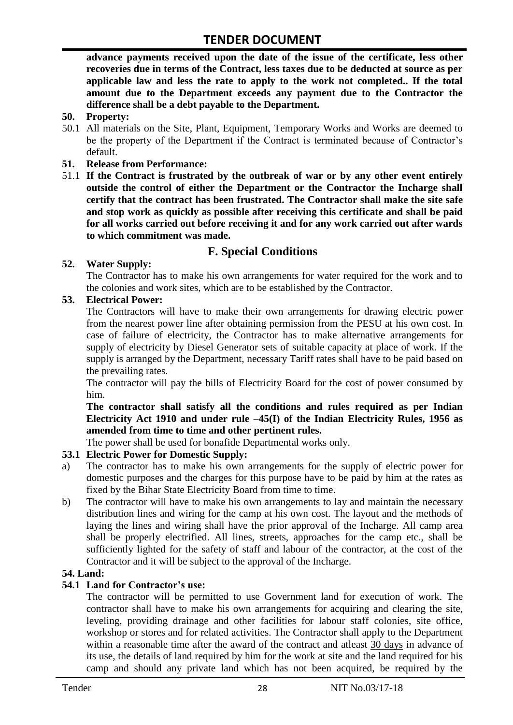**advance payments received upon the date of the issue of the certificate, less other recoveries due in terms of the Contract, less taxes due to be deducted at source as per applicable law and less the rate to apply to the work not completed.. If the total amount due to the Department exceeds any payment due to the Contractor the difference shall be a debt payable to the Department.**

- **50. Property:**
- 50.1 All materials on the Site, Plant, Equipment, Temporary Works and Works are deemed to be the property of the Department if the Contract is terminated because of Contractor's default.
- **51. Release from Performance:**
- 51.1 **If the Contract is frustrated by the outbreak of war or by any other event entirely outside the control of either the Department or the Contractor the Incharge shall certify that the contract has been frustrated. The Contractor shall make the site safe and stop work as quickly as possible after receiving this certificate and shall be paid for all works carried out before receiving it and for any work carried out after wards to which commitment was made.**

# **F. Special Conditions**

#### **52. Water Supply:**

The Contractor has to make his own arrangements for water required for the work and to the colonies and work sites, which are to be established by the Contractor.

#### **53. Electrical Power:**

The Contractors will have to make their own arrangements for drawing electric power from the nearest power line after obtaining permission from the PESU at his own cost. In case of failure of electricity, the Contractor has to make alternative arrangements for supply of electricity by Diesel Generator sets of suitable capacity at place of work. If the supply is arranged by the Department, necessary Tariff rates shall have to be paid based on the prevailing rates.

The contractor will pay the bills of Electricity Board for the cost of power consumed by him.

**The contractor shall satisfy all the conditions and rules required as per Indian Electricity Act 1910 and under rule –45(I) of the Indian Electricity Rules, 1956 as amended from time to time and other pertinent rules.**

The power shall be used for bonafide Departmental works only.

#### **53.1 Electric Power for Domestic Supply:**

- a) The contractor has to make his own arrangements for the supply of electric power for domestic purposes and the charges for this purpose have to be paid by him at the rates as fixed by the Bihar State Electricity Board from time to time.
- b) The contractor will have to make his own arrangements to lay and maintain the necessary distribution lines and wiring for the camp at his own cost. The layout and the methods of laying the lines and wiring shall have the prior approval of the Incharge. All camp area shall be properly electrified. All lines, streets, approaches for the camp etc., shall be sufficiently lighted for the safety of staff and labour of the contractor, at the cost of the Contractor and it will be subject to the approval of the Incharge.

#### **54. Land:**

#### **54.1 Land for Contractor's use:**

The contractor will be permitted to use Government land for execution of work. The contractor shall have to make his own arrangements for acquiring and clearing the site, leveling, providing drainage and other facilities for labour staff colonies, site office, workshop or stores and for related activities. The Contractor shall apply to the Department within a reasonable time after the award of the contract and atleast 30 days in advance of its use, the details of land required by him for the work at site and the land required for his camp and should any private land which has not been acquired, be required by the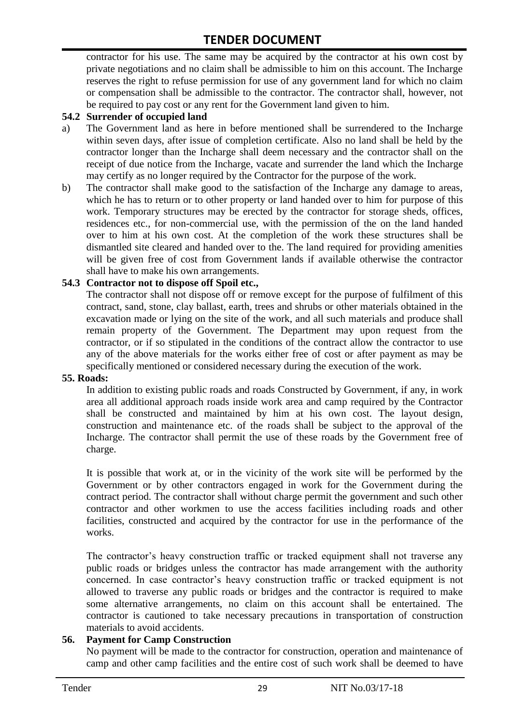contractor for his use. The same may be acquired by the contractor at his own cost by private negotiations and no claim shall be admissible to him on this account. The Incharge reserves the right to refuse permission for use of any government land for which no claim or compensation shall be admissible to the contractor. The contractor shall, however, not be required to pay cost or any rent for the Government land given to him.

#### **54.2 Surrender of occupied land**

- a) The Government land as here in before mentioned shall be surrendered to the Incharge within seven days, after issue of completion certificate. Also no land shall be held by the contractor longer than the Incharge shall deem necessary and the contractor shall on the receipt of due notice from the Incharge, vacate and surrender the land which the Incharge may certify as no longer required by the Contractor for the purpose of the work.
- b) The contractor shall make good to the satisfaction of the Incharge any damage to areas, which he has to return or to other property or land handed over to him for purpose of this work. Temporary structures may be erected by the contractor for storage sheds, offices, residences etc., for non-commercial use, with the permission of the on the land handed over to him at his own cost. At the completion of the work these structures shall be dismantled site cleared and handed over to the. The land required for providing amenities will be given free of cost from Government lands if available otherwise the contractor shall have to make his own arrangements.

#### **54.3 Contractor not to dispose off Spoil etc.,**

The contractor shall not dispose off or remove except for the purpose of fulfilment of this contract, sand, stone, clay ballast, earth, trees and shrubs or other materials obtained in the excavation made or lying on the site of the work, and all such materials and produce shall remain property of the Government. The Department may upon request from the contractor, or if so stipulated in the conditions of the contract allow the contractor to use any of the above materials for the works either free of cost or after payment as may be specifically mentioned or considered necessary during the execution of the work.

#### **55. Roads:**

In addition to existing public roads and roads Constructed by Government, if any, in work area all additional approach roads inside work area and camp required by the Contractor shall be constructed and maintained by him at his own cost. The layout design, construction and maintenance etc. of the roads shall be subject to the approval of the Incharge. The contractor shall permit the use of these roads by the Government free of charge.

It is possible that work at, or in the vicinity of the work site will be performed by the Government or by other contractors engaged in work for the Government during the contract period. The contractor shall without charge permit the government and such other contractor and other workmen to use the access facilities including roads and other facilities, constructed and acquired by the contractor for use in the performance of the works.

The contractor's heavy construction traffic or tracked equipment shall not traverse any public roads or bridges unless the contractor has made arrangement with the authority concerned. In case contractor's heavy construction traffic or tracked equipment is not allowed to traverse any public roads or bridges and the contractor is required to make some alternative arrangements, no claim on this account shall be entertained. The contractor is cautioned to take necessary precautions in transportation of construction materials to avoid accidents.

#### **56. Payment for Camp Construction**

No payment will be made to the contractor for construction, operation and maintenance of camp and other camp facilities and the entire cost of such work shall be deemed to have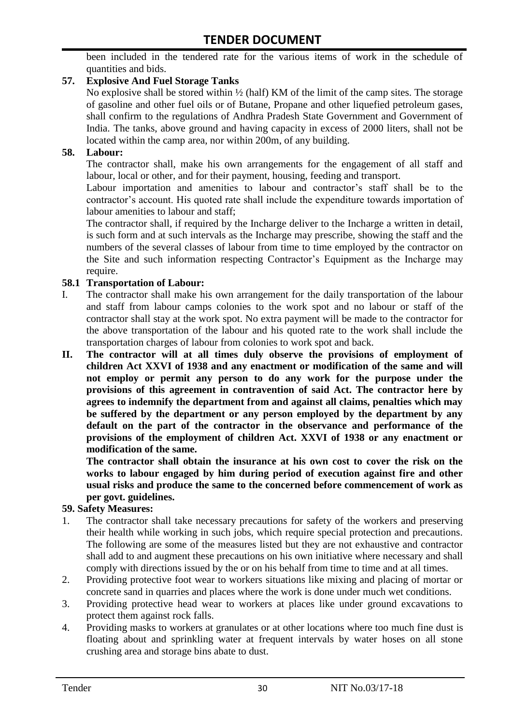been included in the tendered rate for the various items of work in the schedule of quantities and bids.

#### **57. Explosive And Fuel Storage Tanks**

No explosive shall be stored within ½ (half) KM of the limit of the camp sites. The storage of gasoline and other fuel oils or of Butane, Propane and other liquefied petroleum gases, shall confirm to the regulations of Andhra Pradesh State Government and Government of India. The tanks, above ground and having capacity in excess of 2000 liters, shall not be located within the camp area, nor within 200m, of any building.

#### **58. Labour:**

The contractor shall, make his own arrangements for the engagement of all staff and labour, local or other, and for their payment, housing, feeding and transport.

Labour importation and amenities to labour and contractor's staff shall be to the contractor's account. His quoted rate shall include the expenditure towards importation of labour amenities to labour and staff;

The contractor shall, if required by the Incharge deliver to the Incharge a written in detail, is such form and at such intervals as the Incharge may prescribe, showing the staff and the numbers of the several classes of labour from time to time employed by the contractor on the Site and such information respecting Contractor's Equipment as the Incharge may require.

#### **58.1 Transportation of Labour:**

- I. The contractor shall make his own arrangement for the daily transportation of the labour and staff from labour camps colonies to the work spot and no labour or staff of the contractor shall stay at the work spot. No extra payment will be made to the contractor for the above transportation of the labour and his quoted rate to the work shall include the transportation charges of labour from colonies to work spot and back.
- **II. The contractor will at all times duly observe the provisions of employment of children Act XXVI of 1938 and any enactment or modification of the same and will not employ or permit any person to do any work for the purpose under the provisions of this agreement in contravention of said Act. The contractor here by agrees to indemnify the department from and against all claims, penalties which may be suffered by the department or any person employed by the department by any default on the part of the contractor in the observance and performance of the provisions of the employment of children Act. XXVI of 1938 or any enactment or modification of the same.**

**The contractor shall obtain the insurance at his own cost to cover the risk on the works to labour engaged by him during period of execution against fire and other usual risks and produce the same to the concerned before commencement of work as per govt. guidelines.**

#### **59. Safety Measures:**

- 1. The contractor shall take necessary precautions for safety of the workers and preserving their health while working in such jobs, which require special protection and precautions. The following are some of the measures listed but they are not exhaustive and contractor shall add to and augment these precautions on his own initiative where necessary and shall comply with directions issued by the or on his behalf from time to time and at all times.
- 2. Providing protective foot wear to workers situations like mixing and placing of mortar or concrete sand in quarries and places where the work is done under much wet conditions.
- 3. Providing protective head wear to workers at places like under ground excavations to protect them against rock falls.
- 4. Providing masks to workers at granulates or at other locations where too much fine dust is floating about and sprinkling water at frequent intervals by water hoses on all stone crushing area and storage bins abate to dust.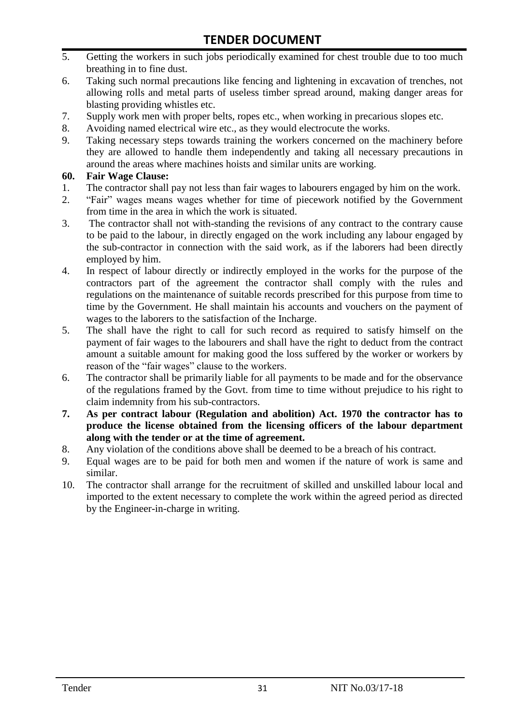- 5. Getting the workers in such jobs periodically examined for chest trouble due to too much breathing in to fine dust.
- 6. Taking such normal precautions like fencing and lightening in excavation of trenches, not allowing rolls and metal parts of useless timber spread around, making danger areas for blasting providing whistles etc.
- 7. Supply work men with proper belts, ropes etc., when working in precarious slopes etc.
- 8. Avoiding named electrical wire etc., as they would electrocute the works.
- 9. Taking necessary steps towards training the workers concerned on the machinery before they are allowed to handle them independently and taking all necessary precautions in around the areas where machines hoists and similar units are working.

#### **60. Fair Wage Clause:**

- 1. The contractor shall pay not less than fair wages to labourers engaged by him on the work.
- 2. "Fair" wages means wages whether for time of piecework notified by the Government from time in the area in which the work is situated.
- 3. The contractor shall not with-standing the revisions of any contract to the contrary cause to be paid to the labour, in directly engaged on the work including any labour engaged by the sub-contractor in connection with the said work, as if the laborers had been directly employed by him.
- 4. In respect of labour directly or indirectly employed in the works for the purpose of the contractors part of the agreement the contractor shall comply with the rules and regulations on the maintenance of suitable records prescribed for this purpose from time to time by the Government. He shall maintain his accounts and vouchers on the payment of wages to the laborers to the satisfaction of the Incharge.
- 5. The shall have the right to call for such record as required to satisfy himself on the payment of fair wages to the labourers and shall have the right to deduct from the contract amount a suitable amount for making good the loss suffered by the worker or workers by reason of the "fair wages" clause to the workers.
- 6. The contractor shall be primarily liable for all payments to be made and for the observance of the regulations framed by the Govt. from time to time without prejudice to his right to claim indemnity from his sub-contractors.
- **7. As per contract labour (Regulation and abolition) Act. 1970 the contractor has to produce the license obtained from the licensing officers of the labour department along with the tender or at the time of agreement.**
- 8. Any violation of the conditions above shall be deemed to be a breach of his contract.
- 9. Equal wages are to be paid for both men and women if the nature of work is same and similar.
- 10. The contractor shall arrange for the recruitment of skilled and unskilled labour local and imported to the extent necessary to complete the work within the agreed period as directed by the Engineer-in-charge in writing.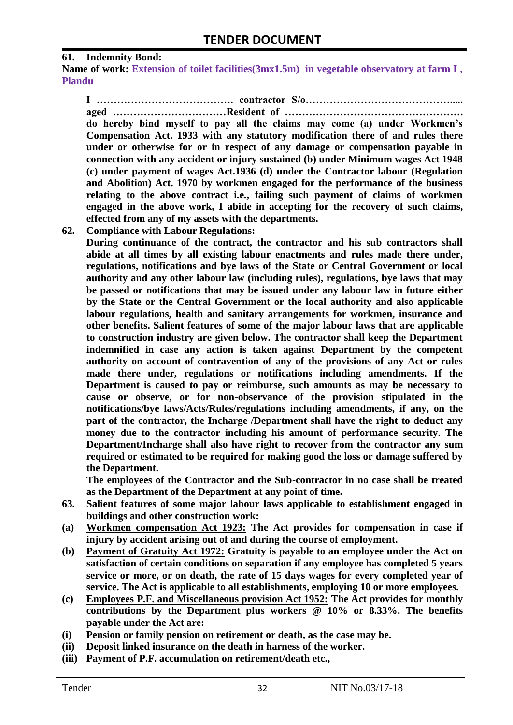#### **61. Indemnity Bond:**

Name of work: Extension of toilet facilities(3mx1.5m) in vegetable observatory at farm I, **Plandu**

**I …………………………………. contractor S/o……………………………………..... aged ……………………………Resident of ……………………………………………. do hereby bind myself to pay all the claims may come (a) under Workmen's Compensation Act. 1933 with any statutory modification there of and rules there under or otherwise for or in respect of any damage or compensation payable in connection with any accident or injury sustained (b) under Minimum wages Act 1948 (c) under payment of wages Act.1936 (d) under the Contractor labour (Regulation and Abolition) Act. 1970 by workmen engaged for the performance of the business relating to the above contract i.e., failing such payment of claims of workmen engaged in the above work, I abide in accepting for the recovery of such claims, effected from any of my assets with the departments.**

**62. Compliance with Labour Regulations:**

**During continuance of the contract, the contractor and his sub contractors shall abide at all times by all existing labour enactments and rules made there under, regulations, notifications and bye laws of the State or Central Government or local authority and any other labour law (including rules), regulations, bye laws that may be passed or notifications that may be issued under any labour law in future either by the State or the Central Government or the local authority and also applicable labour regulations, health and sanitary arrangements for workmen, insurance and other benefits. Salient features of some of the major labour laws that are applicable to construction industry are given below. The contractor shall keep the Department indemnified in case any action is taken against Department by the competent authority on account of contravention of any of the provisions of any Act or rules made there under, regulations or notifications including amendments. If the Department is caused to pay or reimburse, such amounts as may be necessary to cause or observe, or for non-observance of the provision stipulated in the notifications/bye laws/Acts/Rules/regulations including amendments, if any, on the part of the contractor, the Incharge /Department shall have the right to deduct any money due to the contractor including his amount of performance security. The Department/Incharge shall also have right to recover from the contractor any sum required or estimated to be required for making good the loss or damage suffered by the Department.**

**The employees of the Contractor and the Sub-contractor in no case shall be treated as the Department of the Department at any point of time.**

- **63. Salient features of some major labour laws applicable to establishment engaged in buildings and other construction work:**
- **(a) Workmen compensation Act 1923: The Act provides for compensation in case if injury by accident arising out of and during the course of employment.**
- **(b) Payment of Gratuity Act 1972: Gratuity is payable to an employee under the Act on satisfaction of certain conditions on separation if any employee has completed 5 years service or more, or on death, the rate of 15 days wages for every completed year of service. The Act is applicable to all establishments, employing 10 or more employees.**
- **(c) Employees P.F. and Miscellaneous provision Act 1952: The Act provides for monthly contributions by the Department plus workers @ 10% or 8.33%. The benefits payable under the Act are:**
- **(i) Pension or family pension on retirement or death, as the case may be.**
- **(ii) Deposit linked insurance on the death in harness of the worker.**
- **(iii) Payment of P.F. accumulation on retirement/death etc.,**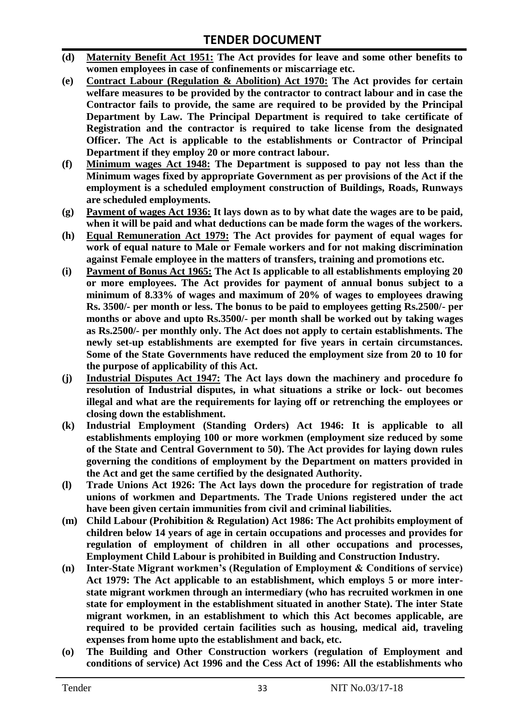- **(d) Maternity Benefit Act 1951: The Act provides for leave and some other benefits to women employees in case of confinements or miscarriage etc.**
- **(e) Contract Labour (Regulation & Abolition) Act 1970: The Act provides for certain welfare measures to be provided by the contractor to contract labour and in case the Contractor fails to provide, the same are required to be provided by the Principal Department by Law. The Principal Department is required to take certificate of Registration and the contractor is required to take license from the designated Officer. The Act is applicable to the establishments or Contractor of Principal Department if they employ 20 or more contract labour.**
- **(f) Minimum wages Act 1948: The Department is supposed to pay not less than the Minimum wages fixed by appropriate Government as per provisions of the Act if the employment is a scheduled employment construction of Buildings, Roads, Runways are scheduled employments.**
- **(g) Payment of wages Act 1936: It lays down as to by what date the wages are to be paid, when it will be paid and what deductions can be made form the wages of the workers.**
- **(h) Equal Remuneration Act 1979: The Act provides for payment of equal wages for work of equal nature to Male or Female workers and for not making discrimination against Female employee in the matters of transfers, training and promotions etc.**
- **(i) Payment of Bonus Act 1965: The Act Is applicable to all establishments employing 20 or more employees. The Act provides for payment of annual bonus subject to a minimum of 8.33% of wages and maximum of 20% of wages to employees drawing Rs. 3500/- per month or less. The bonus to be paid to employees getting Rs.2500/- per months or above and upto Rs.3500/- per month shall be worked out by taking wages as Rs.2500/- per monthly only. The Act does not apply to certain establishments. The newly set-up establishments are exempted for five years in certain circumstances. Some of the State Governments have reduced the employment size from 20 to 10 for the purpose of applicability of this Act.**
- **(j) Industrial Disputes Act 1947: The Act lays down the machinery and procedure fo resolution of Industrial disputes, in what situations a strike or lock- out becomes illegal and what are the requirements for laying off or retrenching the employees or closing down the establishment.**
- **(k) Industrial Employment (Standing Orders) Act 1946: It is applicable to all establishments employing 100 or more workmen (employment size reduced by some of the State and Central Government to 50). The Act provides for laying down rules governing the conditions of employment by the Department on matters provided in the Act and get the same certified by the designated Authority.**
- **(l) Trade Unions Act 1926: The Act lays down the procedure for registration of trade unions of workmen and Departments. The Trade Unions registered under the act have been given certain immunities from civil and criminal liabilities.**
- **(m) Child Labour (Prohibition & Regulation) Act 1986: The Act prohibits employment of children below 14 years of age in certain occupations and processes and provides for regulation of employment of children in all other occupations and processes, Employment Child Labour is prohibited in Building and Construction Industry.**
- **(n) Inter-State Migrant workmen's (Regulation of Employment & Conditions of service) Act 1979: The Act applicable to an establishment, which employs 5 or more interstate migrant workmen through an intermediary (who has recruited workmen in one state for employment in the establishment situated in another State). The inter State migrant workmen, in an establishment to which this Act becomes applicable, are required to be provided certain facilities such as housing, medical aid, traveling expenses from home upto the establishment and back, etc.**
- **(o) The Building and Other Construction workers (regulation of Employment and conditions of service) Act 1996 and the Cess Act of 1996: All the establishments who**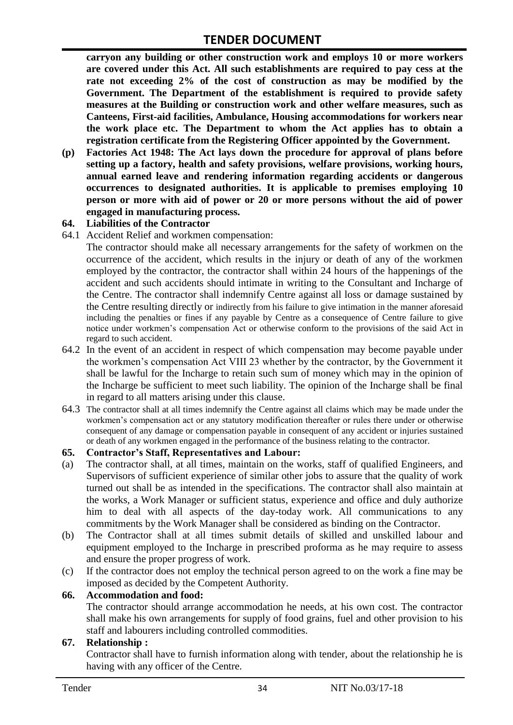**carryon any building or other construction work and employs 10 or more workers are covered under this Act. All such establishments are required to pay cess at the rate not exceeding 2% of the cost of construction as may be modified by the Government. The Department of the establishment is required to provide safety measures at the Building or construction work and other welfare measures, such as Canteens, First-aid facilities, Ambulance, Housing accommodations for workers near the work place etc. The Department to whom the Act applies has to obtain a registration certificate from the Registering Officer appointed by the Government.**

**(p) Factories Act 1948: The Act lays down the procedure for approval of plans before setting up a factory, health and safety provisions, welfare provisions, working hours, annual earned leave and rendering information regarding accidents or dangerous occurrences to designated authorities. It is applicable to premises employing 10 person or more with aid of power or 20 or more persons without the aid of power engaged in manufacturing process.**

#### **64. Liabilities of the Contractor**

64.1 Accident Relief and workmen compensation:

The contractor should make all necessary arrangements for the safety of workmen on the occurrence of the accident, which results in the injury or death of any of the workmen employed by the contractor, the contractor shall within 24 hours of the happenings of the accident and such accidents should intimate in writing to the Consultant and Incharge of the Centre. The contractor shall indemnify Centre against all loss or damage sustained by the Centre resulting directly or indirectly from his failure to give intimation in the manner aforesaid including the penalties or fines if any payable by Centre as a consequence of Centre failure to give notice under workmen's compensation Act or otherwise conform to the provisions of the said Act in regard to such accident.

- 64.2 In the event of an accident in respect of which compensation may become payable under the workmen's compensation Act VIII 23 whether by the contractor, by the Government it shall be lawful for the Incharge to retain such sum of money which may in the opinion of the Incharge be sufficient to meet such liability. The opinion of the Incharge shall be final in regard to all matters arising under this clause.
- 64.3 The contractor shall at all times indemnify the Centre against all claims which may be made under the workmen's compensation act or any statutory modification thereafter or rules there under or otherwise consequent of any damage or compensation payable in consequent of any accident or injuries sustained or death of any workmen engaged in the performance of the business relating to the contractor.

#### **65. Contractor's Staff, Representatives and Labour:**

- (a) The contractor shall, at all times, maintain on the works, staff of qualified Engineers, and Supervisors of sufficient experience of similar other jobs to assure that the quality of work turned out shall be as intended in the specifications. The contractor shall also maintain at the works, a Work Manager or sufficient status, experience and office and duly authorize him to deal with all aspects of the day-today work. All communications to any commitments by the Work Manager shall be considered as binding on the Contractor.
- (b) The Contractor shall at all times submit details of skilled and unskilled labour and equipment employed to the Incharge in prescribed proforma as he may require to assess and ensure the proper progress of work.
- (c) If the contractor does not employ the technical person agreed to on the work a fine may be imposed as decided by the Competent Authority.

#### **66. Accommodation and food:**

The contractor should arrange accommodation he needs, at his own cost. The contractor shall make his own arrangements for supply of food grains, fuel and other provision to his staff and labourers including controlled commodities.

#### **67. Relationship :**

Contractor shall have to furnish information along with tender, about the relationship he is having with any officer of the Centre.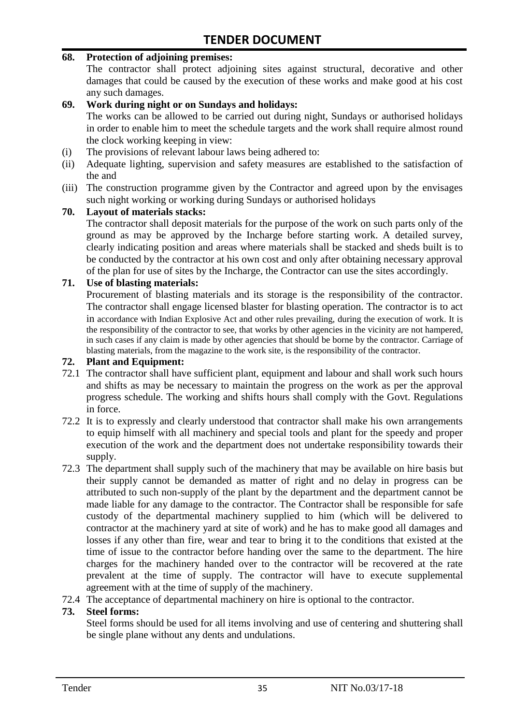#### **68. Protection of adjoining premises:**

The contractor shall protect adjoining sites against structural, decorative and other damages that could be caused by the execution of these works and make good at his cost any such damages.

#### **69. Work during night or on Sundays and holidays:**

The works can be allowed to be carried out during night, Sundays or authorised holidays in order to enable him to meet the schedule targets and the work shall require almost round the clock working keeping in view:

- (i) The provisions of relevant labour laws being adhered to:
- (ii) Adequate lighting, supervision and safety measures are established to the satisfaction of the and
- (iii) The construction programme given by the Contractor and agreed upon by the envisages such night working or working during Sundays or authorised holidays

#### **70. Layout of materials stacks:**

The contractor shall deposit materials for the purpose of the work on such parts only of the ground as may be approved by the Incharge before starting work. A detailed survey, clearly indicating position and areas where materials shall be stacked and sheds built is to be conducted by the contractor at his own cost and only after obtaining necessary approval of the plan for use of sites by the Incharge, the Contractor can use the sites accordingly.

#### **71. Use of blasting materials:**

Procurement of blasting materials and its storage is the responsibility of the contractor. The contractor shall engage licensed blaster for blasting operation. The contractor is to act in accordance with Indian Explosive Act and other rules prevailing, during the execution of work. It is the responsibility of the contractor to see, that works by other agencies in the vicinity are not hampered, in such cases if any claim is made by other agencies that should be borne by the contractor. Carriage of blasting materials, from the magazine to the work site, is the responsibility of the contractor.

#### **72. Plant and Equipment:**

- 72.1 The contractor shall have sufficient plant, equipment and labour and shall work such hours and shifts as may be necessary to maintain the progress on the work as per the approval progress schedule. The working and shifts hours shall comply with the Govt. Regulations in force.
- 72.2 It is to expressly and clearly understood that contractor shall make his own arrangements to equip himself with all machinery and special tools and plant for the speedy and proper execution of the work and the department does not undertake responsibility towards their supply.
- 72.3 The department shall supply such of the machinery that may be available on hire basis but their supply cannot be demanded as matter of right and no delay in progress can be attributed to such non-supply of the plant by the department and the department cannot be made liable for any damage to the contractor. The Contractor shall be responsible for safe custody of the departmental machinery supplied to him (which will be delivered to contractor at the machinery yard at site of work) and he has to make good all damages and losses if any other than fire, wear and tear to bring it to the conditions that existed at the time of issue to the contractor before handing over the same to the department. The hire charges for the machinery handed over to the contractor will be recovered at the rate prevalent at the time of supply. The contractor will have to execute supplemental agreement with at the time of supply of the machinery.
- 72.4 The acceptance of departmental machinery on hire is optional to the contractor.

#### **73. Steel forms:**

Steel forms should be used for all items involving and use of centering and shuttering shall be single plane without any dents and undulations.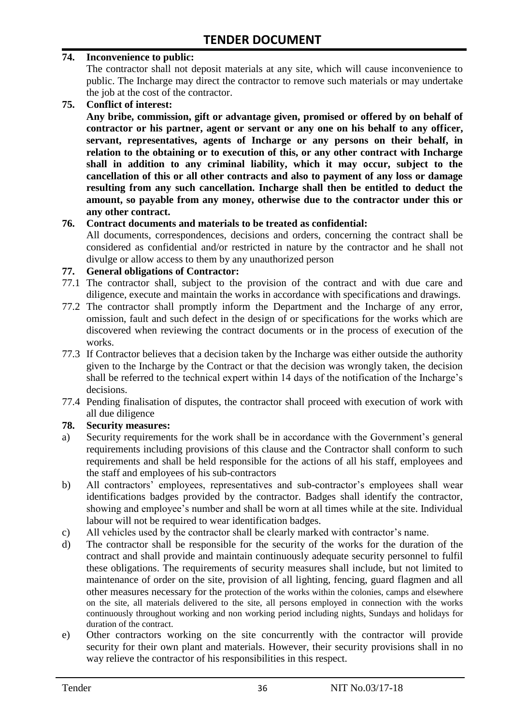#### **74. Inconvenience to public:**

The contractor shall not deposit materials at any site, which will cause inconvenience to public. The Incharge may direct the contractor to remove such materials or may undertake the job at the cost of the contractor.

**75. Conflict of interest:**

**Any bribe, commission, gift or advantage given, promised or offered by on behalf of contractor or his partner, agent or servant or any one on his behalf to any officer, servant, representatives, agents of Incharge or any persons on their behalf, in relation to the obtaining or to execution of this, or any other contract with Incharge shall in addition to any criminal liability, which it may occur, subject to the cancellation of this or all other contracts and also to payment of any loss or damage resulting from any such cancellation. Incharge shall then be entitled to deduct the amount, so payable from any money, otherwise due to the contractor under this or any other contract.**

#### **76. Contract documents and materials to be treated as confidential:**

All documents, correspondences, decisions and orders, concerning the contract shall be considered as confidential and/or restricted in nature by the contractor and he shall not divulge or allow access to them by any unauthorized person

#### **77. General obligations of Contractor:**

- 77.1 The contractor shall, subject to the provision of the contract and with due care and diligence, execute and maintain the works in accordance with specifications and drawings.
- 77.2 The contractor shall promptly inform the Department and the Incharge of any error, omission, fault and such defect in the design of or specifications for the works which are discovered when reviewing the contract documents or in the process of execution of the works.
- 77.3 If Contractor believes that a decision taken by the Incharge was either outside the authority given to the Incharge by the Contract or that the decision was wrongly taken, the decision shall be referred to the technical expert within 14 days of the notification of the Incharge's decisions.
- 77.4 Pending finalisation of disputes, the contractor shall proceed with execution of work with all due diligence

#### **78. Security measures:**

- a) Security requirements for the work shall be in accordance with the Government's general requirements including provisions of this clause and the Contractor shall conform to such requirements and shall be held responsible for the actions of all his staff, employees and the staff and employees of his sub-contractors
- b) All contractors' employees, representatives and sub-contractor's employees shall wear identifications badges provided by the contractor. Badges shall identify the contractor, showing and employee's number and shall be worn at all times while at the site. Individual labour will not be required to wear identification badges.
- c) All vehicles used by the contractor shall be clearly marked with contractor's name.
- d) The contractor shall be responsible for the security of the works for the duration of the contract and shall provide and maintain continuously adequate security personnel to fulfil these obligations. The requirements of security measures shall include, but not limited to maintenance of order on the site, provision of all lighting, fencing, guard flagmen and all other measures necessary for the protection of the works within the colonies, camps and elsewhere on the site, all materials delivered to the site, all persons employed in connection with the works continuously throughout working and non working period including nights, Sundays and holidays for duration of the contract.
- e) Other contractors working on the site concurrently with the contractor will provide security for their own plant and materials. However, their security provisions shall in no way relieve the contractor of his responsibilities in this respect.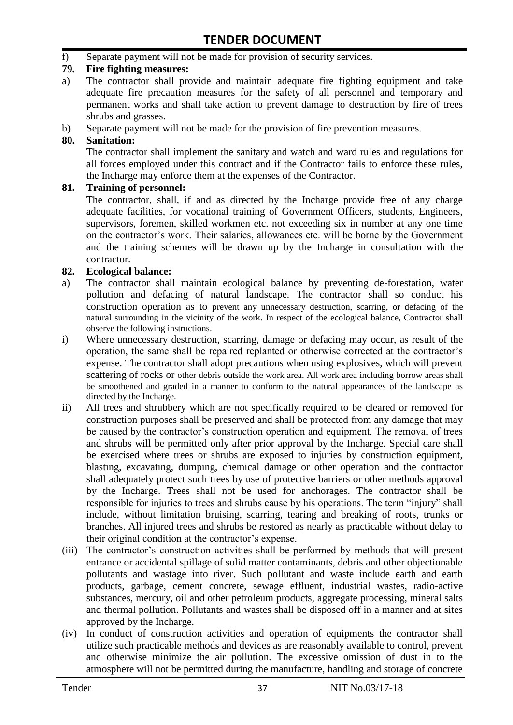f) Separate payment will not be made for provision of security services.

#### **79. Fire fighting measures:**

- a) The contractor shall provide and maintain adequate fire fighting equipment and take adequate fire precaution measures for the safety of all personnel and temporary and permanent works and shall take action to prevent damage to destruction by fire of trees shrubs and grasses.
- b) Separate payment will not be made for the provision of fire prevention measures.

#### **80. Sanitation:**

The contractor shall implement the sanitary and watch and ward rules and regulations for all forces employed under this contract and if the Contractor fails to enforce these rules, the Incharge may enforce them at the expenses of the Contractor.

#### **81. Training of personnel:**

The contractor, shall, if and as directed by the Incharge provide free of any charge adequate facilities, for vocational training of Government Officers, students, Engineers, supervisors, foremen, skilled workmen etc. not exceeding six in number at any one time on the contractor's work. Their salaries, allowances etc. will be borne by the Government and the training schemes will be drawn up by the Incharge in consultation with the contractor.

#### **82. Ecological balance:**

- a) The contractor shall maintain ecological balance by preventing de-forestation, water pollution and defacing of natural landscape. The contractor shall so conduct his construction operation as to prevent any unnecessary destruction, scarring, or defacing of the natural surrounding in the vicinity of the work. In respect of the ecological balance, Contractor shall observe the following instructions.
- i) Where unnecessary destruction, scarring, damage or defacing may occur, as result of the operation, the same shall be repaired replanted or otherwise corrected at the contractor's expense. The contractor shall adopt precautions when using explosives, which will prevent scattering of rocks or other debris outside the work area. All work area including borrow areas shall be smoothened and graded in a manner to conform to the natural appearances of the landscape as directed by the Incharge.
- ii) All trees and shrubbery which are not specifically required to be cleared or removed for construction purposes shall be preserved and shall be protected from any damage that may be caused by the contractor's construction operation and equipment. The removal of trees and shrubs will be permitted only after prior approval by the Incharge. Special care shall be exercised where trees or shrubs are exposed to injuries by construction equipment, blasting, excavating, dumping, chemical damage or other operation and the contractor shall adequately protect such trees by use of protective barriers or other methods approval by the Incharge. Trees shall not be used for anchorages. The contractor shall be responsible for injuries to trees and shrubs cause by his operations. The term "injury" shall include, without limitation bruising, scarring, tearing and breaking of roots, trunks or branches. All injured trees and shrubs be restored as nearly as practicable without delay to their original condition at the contractor's expense.
- (iii) The contractor's construction activities shall be performed by methods that will present entrance or accidental spillage of solid matter contaminants, debris and other objectionable pollutants and wastage into river. Such pollutant and waste include earth and earth products, garbage, cement concrete, sewage effluent, industrial wastes, radio-active substances, mercury, oil and other petroleum products, aggregate processing, mineral salts and thermal pollution. Pollutants and wastes shall be disposed off in a manner and at sites approved by the Incharge.
- (iv) In conduct of construction activities and operation of equipments the contractor shall utilize such practicable methods and devices as are reasonably available to control, prevent and otherwise minimize the air pollution. The excessive omission of dust in to the atmosphere will not be permitted during the manufacture, handling and storage of concrete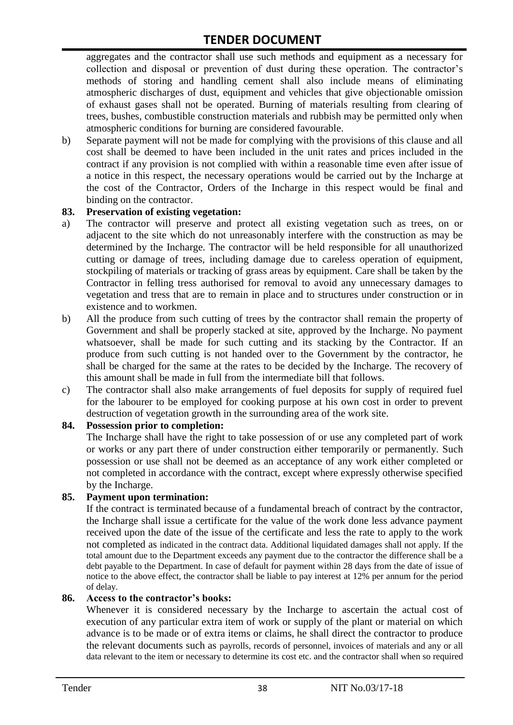aggregates and the contractor shall use such methods and equipment as a necessary for collection and disposal or prevention of dust during these operation. The contractor's methods of storing and handling cement shall also include means of eliminating atmospheric discharges of dust, equipment and vehicles that give objectionable omission of exhaust gases shall not be operated. Burning of materials resulting from clearing of trees, bushes, combustible construction materials and rubbish may be permitted only when atmospheric conditions for burning are considered favourable.

b) Separate payment will not be made for complying with the provisions of this clause and all cost shall be deemed to have been included in the unit rates and prices included in the contract if any provision is not complied with within a reasonable time even after issue of a notice in this respect, the necessary operations would be carried out by the Incharge at the cost of the Contractor, Orders of the Incharge in this respect would be final and binding on the contractor.

#### **83. Preservation of existing vegetation:**

- a) The contractor will preserve and protect all existing vegetation such as trees, on or adjacent to the site which do not unreasonably interfere with the construction as may be determined by the Incharge. The contractor will be held responsible for all unauthorized cutting or damage of trees, including damage due to careless operation of equipment, stockpiling of materials or tracking of grass areas by equipment. Care shall be taken by the Contractor in felling tress authorised for removal to avoid any unnecessary damages to vegetation and tress that are to remain in place and to structures under construction or in existence and to workmen.
- b) All the produce from such cutting of trees by the contractor shall remain the property of Government and shall be properly stacked at site, approved by the Incharge. No payment whatsoever, shall be made for such cutting and its stacking by the Contractor. If an produce from such cutting is not handed over to the Government by the contractor, he shall be charged for the same at the rates to be decided by the Incharge. The recovery of this amount shall be made in full from the intermediate bill that follows.
- c) The contractor shall also make arrangements of fuel deposits for supply of required fuel for the labourer to be employed for cooking purpose at his own cost in order to prevent destruction of vegetation growth in the surrounding area of the work site.

#### **84. Possession prior to completion:**

The Incharge shall have the right to take possession of or use any completed part of work or works or any part there of under construction either temporarily or permanently. Such possession or use shall not be deemed as an acceptance of any work either completed or not completed in accordance with the contract, except where expressly otherwise specified by the Incharge.

#### **85. Payment upon termination:**

If the contract is terminated because of a fundamental breach of contract by the contractor, the Incharge shall issue a certificate for the value of the work done less advance payment received upon the date of the issue of the certificate and less the rate to apply to the work not completed as indicated in the contract data. Additional liquidated damages shall not apply. If the total amount due to the Department exceeds any payment due to the contractor the difference shall be a debt payable to the Department. In case of default for payment within 28 days from the date of issue of notice to the above effect, the contractor shall be liable to pay interest at 12% per annum for the period of delay.

#### **86. Access to the contractor's books:**

Whenever it is considered necessary by the Incharge to ascertain the actual cost of execution of any particular extra item of work or supply of the plant or material on which advance is to be made or of extra items or claims, he shall direct the contractor to produce the relevant documents such as payrolls, records of personnel, invoices of materials and any or all data relevant to the item or necessary to determine its cost etc. and the contractor shall when so required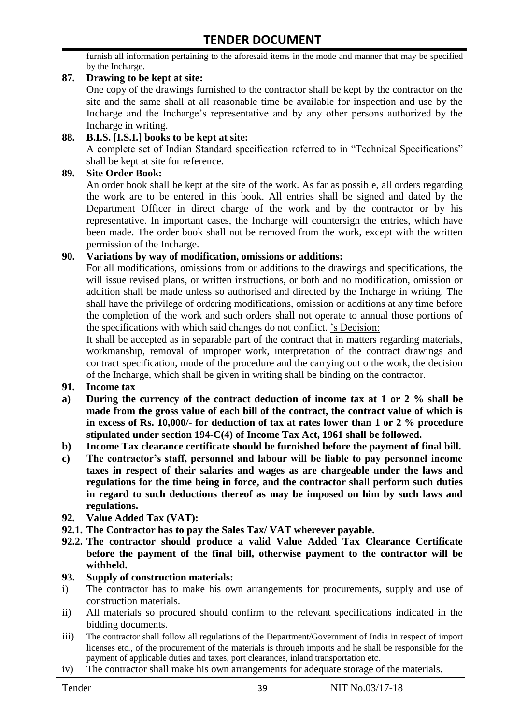furnish all information pertaining to the aforesaid items in the mode and manner that may be specified by the Incharge.

#### **87. Drawing to be kept at site:**

One copy of the drawings furnished to the contractor shall be kept by the contractor on the site and the same shall at all reasonable time be available for inspection and use by the Incharge and the Incharge's representative and by any other persons authorized by the Incharge in writing.

#### **88. B.I.S. [I.S.I.] books to be kept at site:**

A complete set of Indian Standard specification referred to in "Technical Specifications" shall be kept at site for reference.

#### **89. Site Order Book:**

An order book shall be kept at the site of the work. As far as possible, all orders regarding the work are to be entered in this book. All entries shall be signed and dated by the Department Officer in direct charge of the work and by the contractor or by his representative. In important cases, the Incharge will countersign the entries, which have been made. The order book shall not be removed from the work, except with the written permission of the Incharge.

#### **90. Variations by way of modification, omissions or additions:**

For all modifications, omissions from or additions to the drawings and specifications, the will issue revised plans, or written instructions, or both and no modification, omission or addition shall be made unless so authorised and directed by the Incharge in writing. The shall have the privilege of ordering modifications, omission or additions at any time before the completion of the work and such orders shall not operate to annual those portions of the specifications with which said changes do not conflict. 's Decision:

It shall be accepted as in separable part of the contract that in matters regarding materials, workmanship, removal of improper work, interpretation of the contract drawings and contract specification, mode of the procedure and the carrying out o the work, the decision of the Incharge, which shall be given in writing shall be binding on the contractor.

- **91. Income tax**
- **a) During the currency of the contract deduction of income tax at 1 or 2 % shall be made from the gross value of each bill of the contract, the contract value of which is in excess of Rs. 10,000/- for deduction of tax at rates lower than 1 or 2 % procedure stipulated under section 194-C(4) of Income Tax Act, 1961 shall be followed.**
- **b) Income Tax clearance certificate should be furnished before the payment of final bill.**
- **c) The contractor's staff, personnel and labour will be liable to pay personnel income taxes in respect of their salaries and wages as are chargeable under the laws and regulations for the time being in force, and the contractor shall perform such duties in regard to such deductions thereof as may be imposed on him by such laws and regulations.**
- **92. Value Added Tax (VAT):**
- **92.1. The Contractor has to pay the Sales Tax/ VAT wherever payable.**
- **92.2. The contractor should produce a valid Value Added Tax Clearance Certificate before the payment of the final bill, otherwise payment to the contractor will be withheld.**

#### **93. Supply of construction materials:**

- i) The contractor has to make his own arrangements for procurements, supply and use of construction materials.
- ii) All materials so procured should confirm to the relevant specifications indicated in the bidding documents.
- iii) The contractor shall follow all regulations of the Department/Government of India in respect of import licenses etc., of the procurement of the materials is through imports and he shall be responsible for the payment of applicable duties and taxes, port clearances, inland transportation etc.
- iv) The contractor shall make his own arrangements for adequate storage of the materials.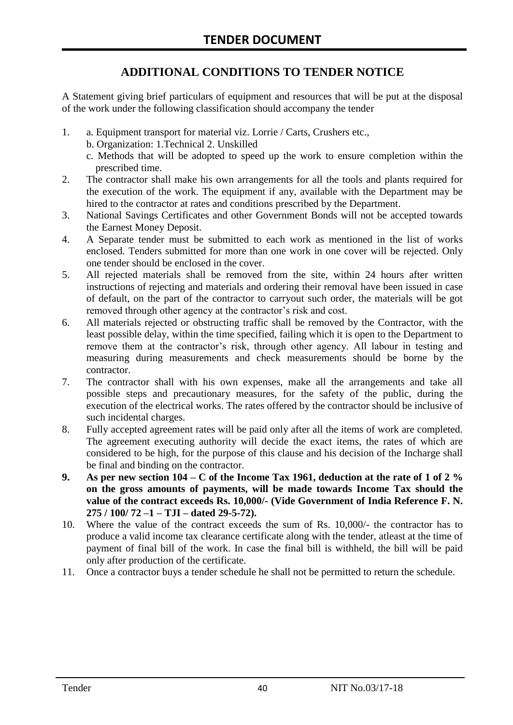# **ADDITIONAL CONDITIONS TO TENDER NOTICE**

A Statement giving brief particulars of equipment and resources that will be put at the disposal of the work under the following classification should accompany the tender

- 1. a. Equipment transport for material viz. Lorrie / Carts, Crushers etc.,
	- b. Organization: 1.Technical 2. Unskilled
	- c. Methods that will be adopted to speed up the work to ensure completion within the prescribed time.
- 2. The contractor shall make his own arrangements for all the tools and plants required for the execution of the work. The equipment if any, available with the Department may be hired to the contractor at rates and conditions prescribed by the Department.
- 3. National Savings Certificates and other Government Bonds will not be accepted towards the Earnest Money Deposit.
- 4. A Separate tender must be submitted to each work as mentioned in the list of works enclosed. Tenders submitted for more than one work in one cover will be rejected. Only one tender should be enclosed in the cover.
- 5. All rejected materials shall be removed from the site, within 24 hours after written instructions of rejecting and materials and ordering their removal have been issued in case of default, on the part of the contractor to carryout such order, the materials will be got removed through other agency at the contractor's risk and cost.
- 6. All materials rejected or obstructing traffic shall be removed by the Contractor, with the least possible delay, within the time specified, failing which it is open to the Department to remove them at the contractor's risk, through other agency. All labour in testing and measuring during measurements and check measurements should be borne by the contractor.
- 7. The contractor shall with his own expenses, make all the arrangements and take all possible steps and precautionary measures, for the safety of the public, during the execution of the electrical works. The rates offered by the contractor should be inclusive of such incidental charges.
- 8. Fully accepted agreement rates will be paid only after all the items of work are completed. The agreement executing authority will decide the exact items, the rates of which are considered to be high, for the purpose of this clause and his decision of the Incharge shall be final and binding on the contractor.
- **9. As per new section 104 – C of the Income Tax 1961, deduction at the rate of 1 of 2 % on the gross amounts of payments, will be made towards Income Tax should the value of the contract exceeds Rs. 10,000/- (Vide Government of India Reference F. N. 275 / 100/ 72 –1 – TJI – dated 29-5-72).**
- 10. Where the value of the contract exceeds the sum of Rs. 10,000/- the contractor has to produce a valid income tax clearance certificate along with the tender, atleast at the time of payment of final bill of the work. In case the final bill is withheld, the bill will be paid only after production of the certificate.
- 11. Once a contractor buys a tender schedule he shall not be permitted to return the schedule.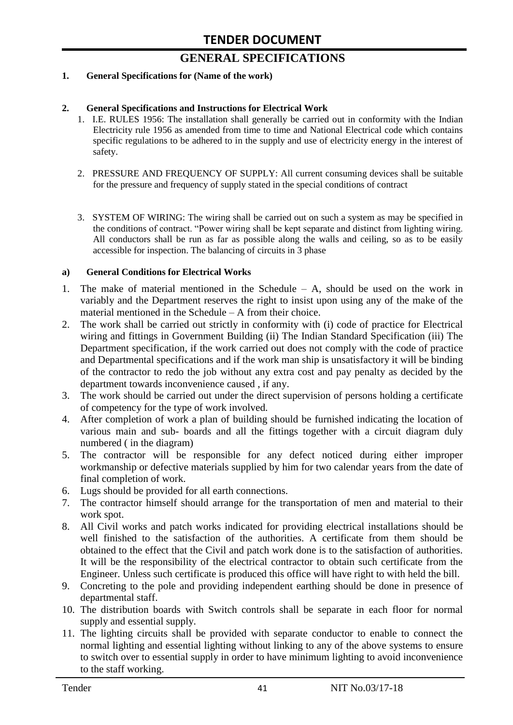# **GENERAL SPECIFICATIONS**

#### **1. General Specifications for (Name of the work)**

#### **2. General Specifications and Instructions for Electrical Work**

- 1. I.E. RULES 1956: The installation shall generally be carried out in conformity with the Indian Electricity rule 1956 as amended from time to time and National Electrical code which contains specific regulations to be adhered to in the supply and use of electricity energy in the interest of safety.
- 2. PRESSURE AND FREQUENCY OF SUPPLY: All current consuming devices shall be suitable for the pressure and frequency of supply stated in the special conditions of contract
- 3. SYSTEM OF WIRING: The wiring shall be carried out on such a system as may be specified in the conditions of contract. "Power wiring shall be kept separate and distinct from lighting wiring. All conductors shall be run as far as possible along the walls and ceiling, so as to be easily accessible for inspection. The balancing of circuits in 3 phase

#### **a) General Conditions for Electrical Works**

- 1. The make of material mentioned in the Schedule A, should be used on the work in variably and the Department reserves the right to insist upon using any of the make of the material mentioned in the Schedule – A from their choice.
- 2. The work shall be carried out strictly in conformity with (i) code of practice for Electrical wiring and fittings in Government Building (ii) The Indian Standard Specification (iii) The Department specification, if the work carried out does not comply with the code of practice and Departmental specifications and if the work man ship is unsatisfactory it will be binding of the contractor to redo the job without any extra cost and pay penalty as decided by the department towards inconvenience caused , if any.
- 3. The work should be carried out under the direct supervision of persons holding a certificate of competency for the type of work involved.
- 4. After completion of work a plan of building should be furnished indicating the location of various main and sub- boards and all the fittings together with a circuit diagram duly numbered ( in the diagram)
- 5. The contractor will be responsible for any defect noticed during either improper workmanship or defective materials supplied by him for two calendar years from the date of final completion of work.
- 6. Lugs should be provided for all earth connections.
- 7. The contractor himself should arrange for the transportation of men and material to their work spot.
- 8. All Civil works and patch works indicated for providing electrical installations should be well finished to the satisfaction of the authorities. A certificate from them should be obtained to the effect that the Civil and patch work done is to the satisfaction of authorities. It will be the responsibility of the electrical contractor to obtain such certificate from the Engineer. Unless such certificate is produced this office will have right to with held the bill.
- 9. Concreting to the pole and providing independent earthing should be done in presence of departmental staff.
- 10. The distribution boards with Switch controls shall be separate in each floor for normal supply and essential supply.
- 11. The lighting circuits shall be provided with separate conductor to enable to connect the normal lighting and essential lighting without linking to any of the above systems to ensure to switch over to essential supply in order to have minimum lighting to avoid inconvenience to the staff working.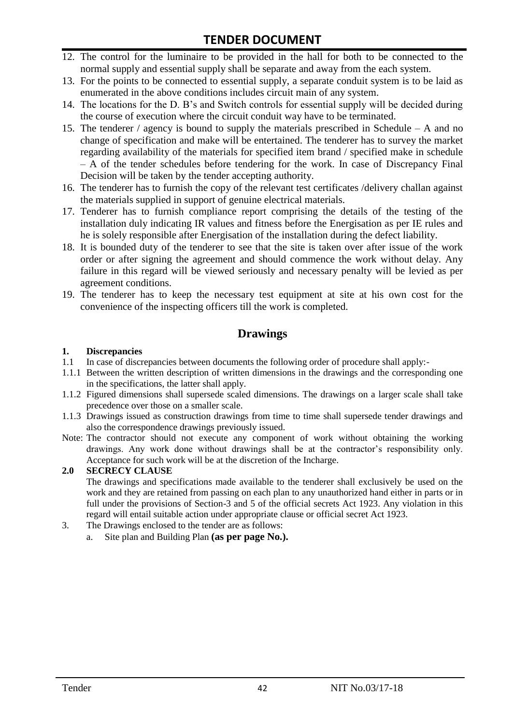- 12. The control for the luminaire to be provided in the hall for both to be connected to the normal supply and essential supply shall be separate and away from the each system.
- 13. For the points to be connected to essential supply, a separate conduit system is to be laid as enumerated in the above conditions includes circuit main of any system.
- 14. The locations for the D. B's and Switch controls for essential supply will be decided during the course of execution where the circuit conduit way have to be terminated.
- 15. The tenderer / agency is bound to supply the materials prescribed in Schedule A and no change of specification and make will be entertained. The tenderer has to survey the market regarding availability of the materials for specified item brand / specified make in schedule – A of the tender schedules before tendering for the work. In case of Discrepancy Final Decision will be taken by the tender accepting authority.
- 16. The tenderer has to furnish the copy of the relevant test certificates /delivery challan against the materials supplied in support of genuine electrical materials.
- 17. Tenderer has to furnish compliance report comprising the details of the testing of the installation duly indicating IR values and fitness before the Energisation as per IE rules and he is solely responsible after Energisation of the installation during the defect liability.
- 18. It is bounded duty of the tenderer to see that the site is taken over after issue of the work order or after signing the agreement and should commence the work without delay. Any failure in this regard will be viewed seriously and necessary penalty will be levied as per agreement conditions.
- 19. The tenderer has to keep the necessary test equipment at site at his own cost for the convenience of the inspecting officers till the work is completed.

### **Drawings**

#### **1. Discrepancies**

- 1.1 In case of discrepancies between documents the following order of procedure shall apply:-
- 1.1.1 Between the written description of written dimensions in the drawings and the corresponding one in the specifications, the latter shall apply.
- 1.1.2 Figured dimensions shall supersede scaled dimensions. The drawings on a larger scale shall take precedence over those on a smaller scale.
- 1.1.3 Drawings issued as construction drawings from time to time shall supersede tender drawings and also the correspondence drawings previously issued.
- Note: The contractor should not execute any component of work without obtaining the working drawings. Any work done without drawings shall be at the contractor's responsibility only. Acceptance for such work will be at the discretion of the Incharge.

#### **2.0 SECRECY CLAUSE**

The drawings and specifications made available to the tenderer shall exclusively be used on the work and they are retained from passing on each plan to any unauthorized hand either in parts or in full under the provisions of Section-3 and 5 of the official secrets Act 1923. Any violation in this regard will entail suitable action under appropriate clause or official secret Act 1923.

- 3. The Drawings enclosed to the tender are as follows:
	- a. Site plan and Building Plan **(as per page No.).**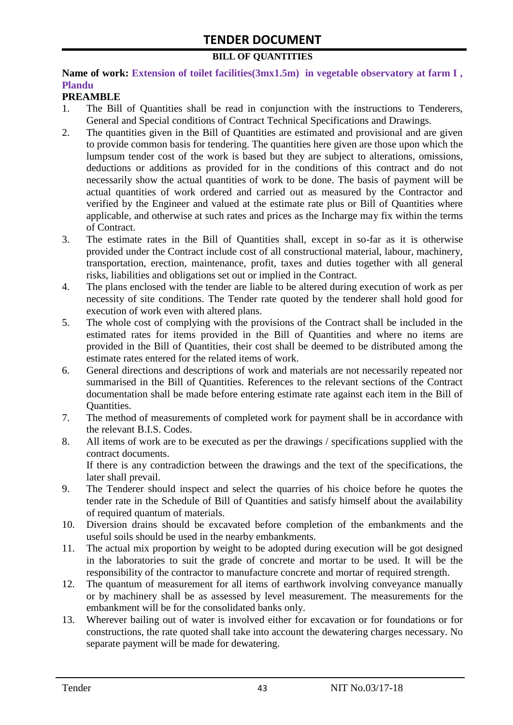#### **BILL OF QUANTITIES**

#### Name of work: Extension of toilet facilities(3mx1.5m) in vegetable observatory at farm I, **Plandu**

#### **PREAMBLE**

- 1. The Bill of Quantities shall be read in conjunction with the instructions to Tenderers, General and Special conditions of Contract Technical Specifications and Drawings.
- 2. The quantities given in the Bill of Quantities are estimated and provisional and are given to provide common basis for tendering. The quantities here given are those upon which the lumpsum tender cost of the work is based but they are subject to alterations, omissions, deductions or additions as provided for in the conditions of this contract and do not necessarily show the actual quantities of work to be done. The basis of payment will be actual quantities of work ordered and carried out as measured by the Contractor and verified by the Engineer and valued at the estimate rate plus or Bill of Quantities where applicable, and otherwise at such rates and prices as the Incharge may fix within the terms of Contract.
- 3. The estimate rates in the Bill of Quantities shall, except in so-far as it is otherwise provided under the Contract include cost of all constructional material, labour, machinery, transportation, erection, maintenance, profit, taxes and duties together with all general risks, liabilities and obligations set out or implied in the Contract.
- 4. The plans enclosed with the tender are liable to be altered during execution of work as per necessity of site conditions. The Tender rate quoted by the tenderer shall hold good for execution of work even with altered plans.
- 5. The whole cost of complying with the provisions of the Contract shall be included in the estimated rates for items provided in the Bill of Quantities and where no items are provided in the Bill of Quantities, their cost shall be deemed to be distributed among the estimate rates entered for the related items of work.
- 6. General directions and descriptions of work and materials are not necessarily repeated nor summarised in the Bill of Quantities. References to the relevant sections of the Contract documentation shall be made before entering estimate rate against each item in the Bill of Quantities.
- 7. The method of measurements of completed work for payment shall be in accordance with the relevant B.I.S. Codes.
- 8. All items of work are to be executed as per the drawings / specifications supplied with the contract documents. If there is any contradiction between the drawings and the text of the specifications, the
- later shall prevail. 9. The Tenderer should inspect and select the quarries of his choice before he quotes the tender rate in the Schedule of Bill of Quantities and satisfy himself about the availability of required quantum of materials.
- 10. Diversion drains should be excavated before completion of the embankments and the useful soils should be used in the nearby embankments.
- 11. The actual mix proportion by weight to be adopted during execution will be got designed in the laboratories to suit the grade of concrete and mortar to be used. It will be the responsibility of the contractor to manufacture concrete and mortar of required strength.
- 12. The quantum of measurement for all items of earthwork involving conveyance manually or by machinery shall be as assessed by level measurement. The measurements for the embankment will be for the consolidated banks only.
- 13. Wherever bailing out of water is involved either for excavation or for foundations or for constructions, the rate quoted shall take into account the dewatering charges necessary. No separate payment will be made for dewatering.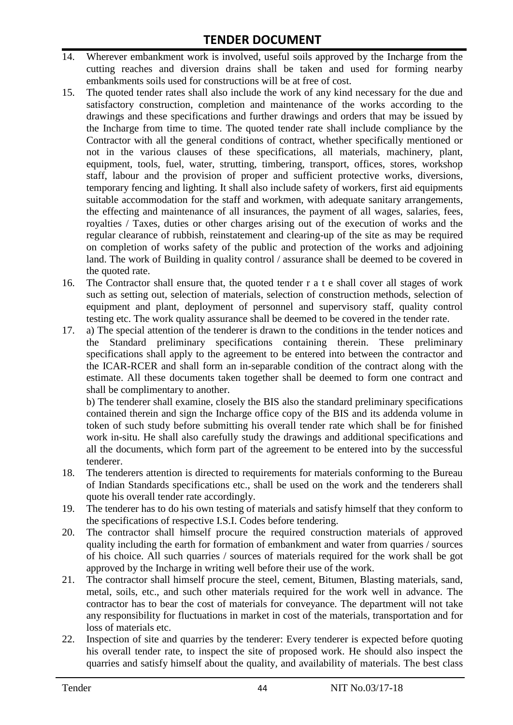- 14. Wherever embankment work is involved, useful soils approved by the Incharge from the cutting reaches and diversion drains shall be taken and used for forming nearby embankments soils used for constructions will be at free of cost.
- 15. The quoted tender rates shall also include the work of any kind necessary for the due and satisfactory construction, completion and maintenance of the works according to the drawings and these specifications and further drawings and orders that may be issued by the Incharge from time to time. The quoted tender rate shall include compliance by the Contractor with all the general conditions of contract, whether specifically mentioned or not in the various clauses of these specifications, all materials, machinery, plant, equipment, tools, fuel, water, strutting, timbering, transport, offices, stores, workshop staff, labour and the provision of proper and sufficient protective works, diversions, temporary fencing and lighting. It shall also include safety of workers, first aid equipments suitable accommodation for the staff and workmen, with adequate sanitary arrangements, the effecting and maintenance of all insurances, the payment of all wages, salaries, fees, royalties / Taxes, duties or other charges arising out of the execution of works and the regular clearance of rubbish, reinstatement and clearing-up of the site as may be required on completion of works safety of the public and protection of the works and adjoining land. The work of Building in quality control / assurance shall be deemed to be covered in the quoted rate.
- 16. The Contractor shall ensure that, the quoted tender r a t e shall cover all stages of work such as setting out, selection of materials, selection of construction methods, selection of equipment and plant, deployment of personnel and supervisory staff, quality control testing etc. The work quality assurance shall be deemed to be covered in the tender rate.
- 17. a) The special attention of the tenderer is drawn to the conditions in the tender notices and the Standard preliminary specifications containing therein. These preliminary specifications shall apply to the agreement to be entered into between the contractor and the ICAR-RCER and shall form an in-separable condition of the contract along with the estimate. All these documents taken together shall be deemed to form one contract and shall be complimentary to another.

b) The tenderer shall examine, closely the BIS also the standard preliminary specifications contained therein and sign the Incharge office copy of the BIS and its addenda volume in token of such study before submitting his overall tender rate which shall be for finished work in-situ. He shall also carefully study the drawings and additional specifications and all the documents, which form part of the agreement to be entered into by the successful tenderer.

- 18. The tenderers attention is directed to requirements for materials conforming to the Bureau of Indian Standards specifications etc., shall be used on the work and the tenderers shall quote his overall tender rate accordingly.
- 19. The tenderer has to do his own testing of materials and satisfy himself that they conform to the specifications of respective I.S.I. Codes before tendering.
- 20. The contractor shall himself procure the required construction materials of approved quality including the earth for formation of embankment and water from quarries / sources of his choice. All such quarries / sources of materials required for the work shall be got approved by the Incharge in writing well before their use of the work.
- 21. The contractor shall himself procure the steel, cement, Bitumen, Blasting materials, sand, metal, soils, etc., and such other materials required for the work well in advance. The contractor has to bear the cost of materials for conveyance. The department will not take any responsibility for fluctuations in market in cost of the materials, transportation and for loss of materials etc.
- 22. Inspection of site and quarries by the tenderer: Every tenderer is expected before quoting his overall tender rate, to inspect the site of proposed work. He should also inspect the quarries and satisfy himself about the quality, and availability of materials. The best class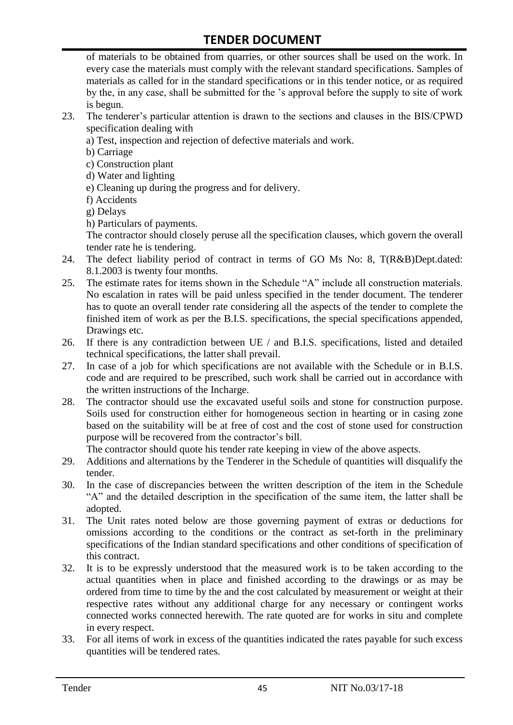of materials to be obtained from quarries, or other sources shall be used on the work. In every case the materials must comply with the relevant standard specifications. Samples of materials as called for in the standard specifications or in this tender notice, or as required by the, in any case, shall be submitted for the 's approval before the supply to site of work is begun.

- 23. The tenderer's particular attention is drawn to the sections and clauses in the BIS/CPWD specification dealing with
	- a) Test, inspection and rejection of defective materials and work.
	- b) Carriage
	- c) Construction plant
	- d) Water and lighting
	- e) Cleaning up during the progress and for delivery.
	- f) Accidents
	- g) Delays
	- h) Particulars of payments.

The contractor should closely peruse all the specification clauses, which govern the overall tender rate he is tendering.

- 24. The defect liability period of contract in terms of GO Ms No: 8, T(R&B)Dept.dated: 8.1.2003 is twenty four months.
- 25. The estimate rates for items shown in the Schedule "A" include all construction materials. No escalation in rates will be paid unless specified in the tender document. The tenderer has to quote an overall tender rate considering all the aspects of the tender to complete the finished item of work as per the B.I.S. specifications, the special specifications appended, Drawings etc.
- 26. If there is any contradiction between UE / and B.I.S. specifications, listed and detailed technical specifications, the latter shall prevail.
- 27. In case of a job for which specifications are not available with the Schedule or in B.I.S. code and are required to be prescribed, such work shall be carried out in accordance with the written instructions of the Incharge.
- 28. The contractor should use the excavated useful soils and stone for construction purpose. Soils used for construction either for homogeneous section in hearting or in casing zone based on the suitability will be at free of cost and the cost of stone used for construction purpose will be recovered from the contractor's bill.

The contractor should quote his tender rate keeping in view of the above aspects.

- 29. Additions and alternations by the Tenderer in the Schedule of quantities will disqualify the tender.
- 30. In the case of discrepancies between the written description of the item in the Schedule "A" and the detailed description in the specification of the same item, the latter shall be adopted.
- 31. The Unit rates noted below are those governing payment of extras or deductions for omissions according to the conditions or the contract as set-forth in the preliminary specifications of the Indian standard specifications and other conditions of specification of this contract.
- 32. It is to be expressly understood that the measured work is to be taken according to the actual quantities when in place and finished according to the drawings or as may be ordered from time to time by the and the cost calculated by measurement or weight at their respective rates without any additional charge for any necessary or contingent works connected works connected herewith. The rate quoted are for works in situ and complete in every respect.
- 33. For all items of work in excess of the quantities indicated the rates payable for such excess quantities will be tendered rates.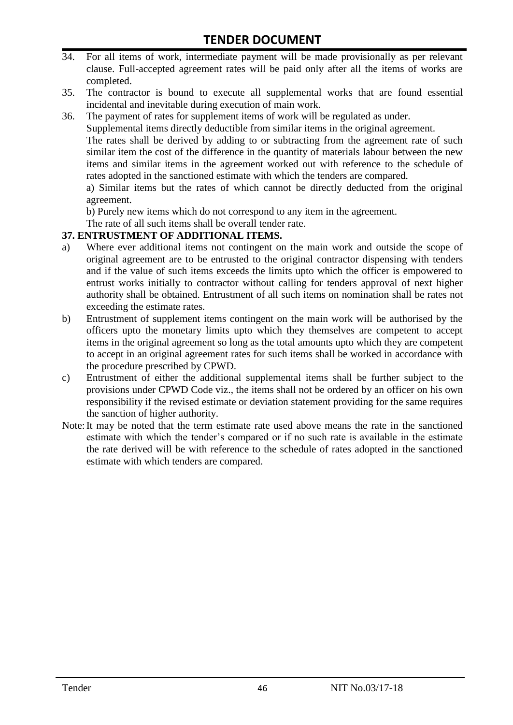- 34. For all items of work, intermediate payment will be made provisionally as per relevant clause. Full-accepted agreement rates will be paid only after all the items of works are completed.
- 35. The contractor is bound to execute all supplemental works that are found essential incidental and inevitable during execution of main work.
- 36. The payment of rates for supplement items of work will be regulated as under.

Supplemental items directly deductible from similar items in the original agreement.

The rates shall be derived by adding to or subtracting from the agreement rate of such similar item the cost of the difference in the quantity of materials labour between the new items and similar items in the agreement worked out with reference to the schedule of rates adopted in the sanctioned estimate with which the tenders are compared.

a) Similar items but the rates of which cannot be directly deducted from the original agreement.

b) Purely new items which do not correspond to any item in the agreement.

The rate of all such items shall be overall tender rate.

#### **37. ENTRUSTMENT OF ADDITIONAL ITEMS.**

- a) Where ever additional items not contingent on the main work and outside the scope of original agreement are to be entrusted to the original contractor dispensing with tenders and if the value of such items exceeds the limits upto which the officer is empowered to entrust works initially to contractor without calling for tenders approval of next higher authority shall be obtained. Entrustment of all such items on nomination shall be rates not exceeding the estimate rates.
- b) Entrustment of supplement items contingent on the main work will be authorised by the officers upto the monetary limits upto which they themselves are competent to accept items in the original agreement so long as the total amounts upto which they are competent to accept in an original agreement rates for such items shall be worked in accordance with the procedure prescribed by CPWD.
- c) Entrustment of either the additional supplemental items shall be further subject to the provisions under CPWD Code viz., the items shall not be ordered by an officer on his own responsibility if the revised estimate or deviation statement providing for the same requires the sanction of higher authority.
- Note:It may be noted that the term estimate rate used above means the rate in the sanctioned estimate with which the tender's compared or if no such rate is available in the estimate the rate derived will be with reference to the schedule of rates adopted in the sanctioned estimate with which tenders are compared.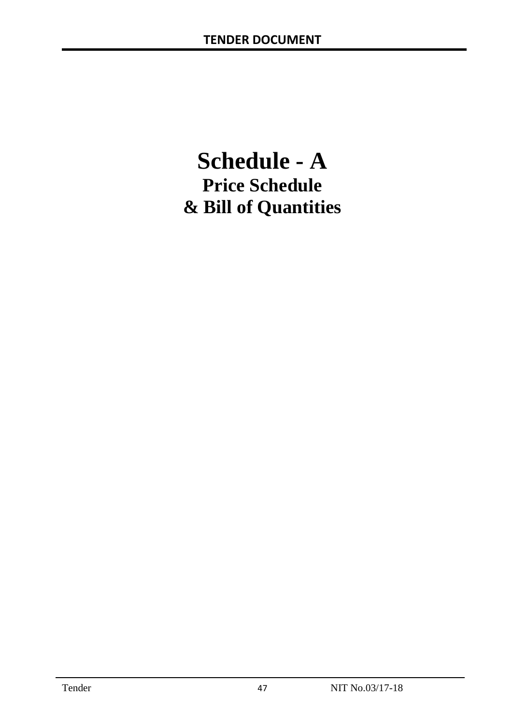# **Schedule - A Price Schedule & Bill of Quantities**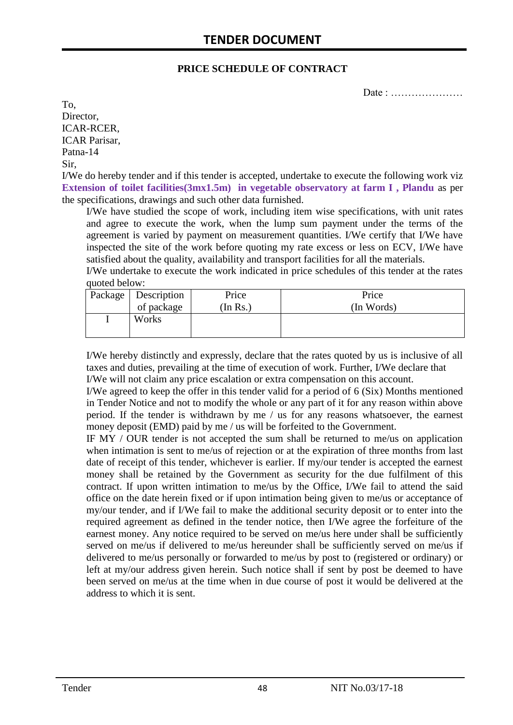#### **PRICE SCHEDULE OF CONTRACT**

Date : …………………

To, Director, ICAR-RCER, ICAR Parisar, Patna-14 Sir,

I/We do hereby tender and if this tender is accepted, undertake to execute the following work viz **Extension of toilet facilities(3mx1.5m) in vegetable observatory at farm I , Plandu** as per the specifications, drawings and such other data furnished.

I/We have studied the scope of work, including item wise specifications, with unit rates and agree to execute the work, when the lump sum payment under the terms of the agreement is varied by payment on measurement quantities. I/We certify that I/We have inspected the site of the work before quoting my rate excess or less on ECV, I/We have satisfied about the quality, availability and transport facilities for all the materials.

I/We undertake to execute the work indicated in price schedules of this tender at the rates quoted below:

| Package   Description | Price    | Price      |
|-----------------------|----------|------------|
| of package            | (In Rs.) | (In Words) |
| Works                 |          |            |
|                       |          |            |

I/We hereby distinctly and expressly, declare that the rates quoted by us is inclusive of all taxes and duties, prevailing at the time of execution of work. Further, I/We declare that I/We will not claim any price escalation or extra compensation on this account.

I/We agreed to keep the offer in this tender valid for a period of 6 (Six) Months mentioned in Tender Notice and not to modify the whole or any part of it for any reason within above period. If the tender is withdrawn by me / us for any reasons whatsoever, the earnest money deposit (EMD) paid by me / us will be forfeited to the Government.

IF MY / OUR tender is not accepted the sum shall be returned to me/us on application when intimation is sent to me/us of rejection or at the expiration of three months from last date of receipt of this tender, whichever is earlier. If my/our tender is accepted the earnest money shall be retained by the Government as security for the due fulfilment of this contract. If upon written intimation to me/us by the Office, I/We fail to attend the said office on the date herein fixed or if upon intimation being given to me/us or acceptance of my/our tender, and if I/We fail to make the additional security deposit or to enter into the required agreement as defined in the tender notice, then I/We agree the forfeiture of the earnest money. Any notice required to be served on me/us here under shall be sufficiently served on me/us if delivered to me/us hereunder shall be sufficiently served on me/us if delivered to me/us personally or forwarded to me/us by post to (registered or ordinary) or left at my/our address given herein. Such notice shall if sent by post be deemed to have been served on me/us at the time when in due course of post it would be delivered at the address to which it is sent.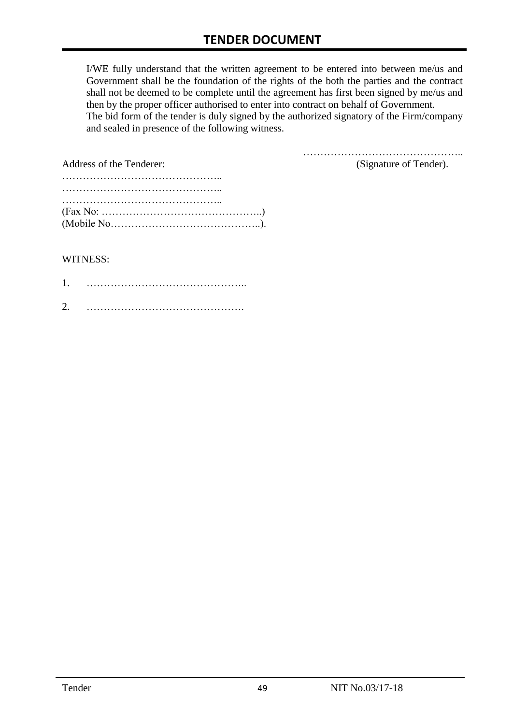I/WE fully understand that the written agreement to be entered into between me/us and Government shall be the foundation of the rights of the both the parties and the contract shall not be deemed to be complete until the agreement has first been signed by me/us and then by the proper officer authorised to enter into contract on behalf of Government. The bid form of the tender is duly signed by the authorized signatory of the Firm/company and sealed in presence of the following witness.

………………………………………..

| Address of the Tenderer:                                                                               | (Signature of Tender). |
|--------------------------------------------------------------------------------------------------------|------------------------|
|                                                                                                        |                        |
| $(Fax No: \ldots \ldots \ldots \ldots \ldots \ldots \ldots \ldots \ldots \ldots \ldots \ldots \ldots)$ |                        |

#### WITNESS:

| ◠ |  |
|---|--|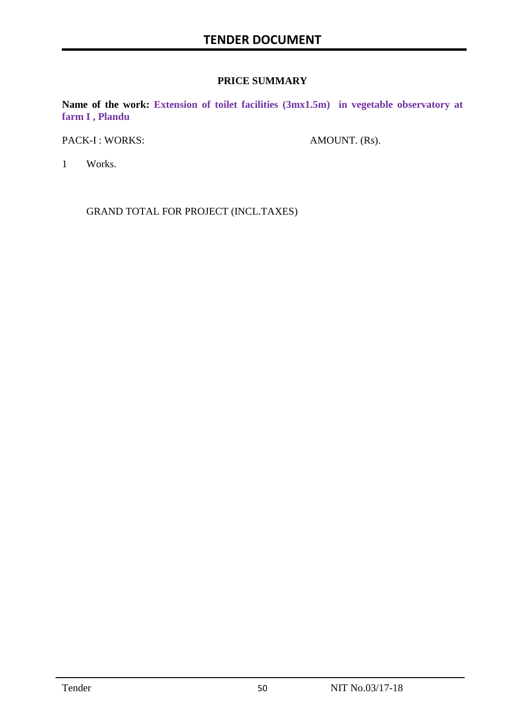#### **PRICE SUMMARY**

**Name of the work: Extension of toilet facilities (3mx1.5m) in vegetable observatory at farm I , Plandu**

PACK-I : WORKS: AMOUNT. (Rs).

1 Works.

GRAND TOTAL FOR PROJECT (INCL.TAXES)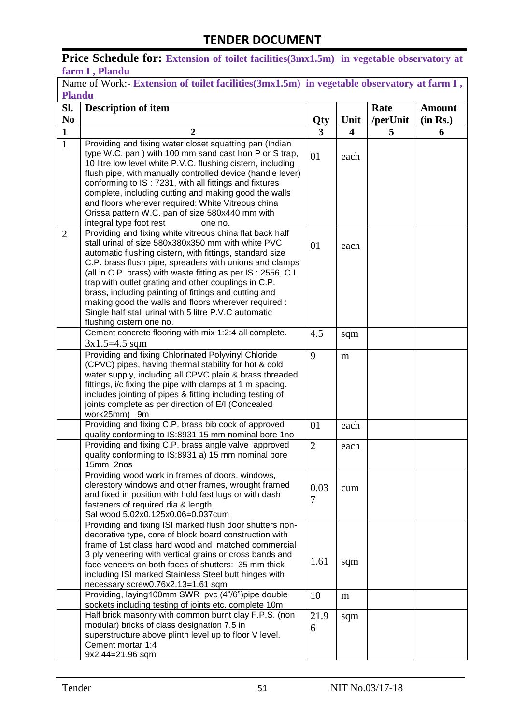### Price Schedule for: Extension of toilet facilities(3mx1.5m) in vegetable observatory at **farm I , Plandu**

| Name of Work:- Extension of toilet facilities (3mx1.5m) in vegetable observatory at farm I, |                                                                                                                  |                |                  |          |               |
|---------------------------------------------------------------------------------------------|------------------------------------------------------------------------------------------------------------------|----------------|------------------|----------|---------------|
| <b>Plandu</b>                                                                               |                                                                                                                  |                |                  |          |               |
| SI.                                                                                         | <b>Description of item</b>                                                                                       |                |                  | Rate     | <b>Amount</b> |
| N <sub>0</sub>                                                                              |                                                                                                                  | Qty            | Unit             | /perUnit | (in Rs.)      |
| $\mathbf{1}$                                                                                | $\overline{2}$                                                                                                   | 3              | $\boldsymbol{4}$ | 5        | 6             |
| $\overline{1}$                                                                              | Providing and fixing water closet squatting pan (Indian                                                          |                |                  |          |               |
|                                                                                             | type W.C. pan) with 100 mm sand cast Iron P or S trap,                                                           | 01             | each             |          |               |
|                                                                                             | 10 litre low level white P.V.C. flushing cistern, including                                                      |                |                  |          |               |
|                                                                                             | flush pipe, with manually controlled device (handle lever)                                                       |                |                  |          |               |
|                                                                                             | conforming to IS: 7231, with all fittings and fixtures                                                           |                |                  |          |               |
|                                                                                             | complete, including cutting and making good the walls                                                            |                |                  |          |               |
|                                                                                             | and floors wherever required: White Vitreous china                                                               |                |                  |          |               |
|                                                                                             | Orissa pattern W.C. pan of size 580x440 mm with                                                                  |                |                  |          |               |
|                                                                                             | integral type foot rest<br>one no.<br>Providing and fixing white vitreous china flat back half                   |                |                  |          |               |
| 2                                                                                           | stall urinal of size 580x380x350 mm with white PVC                                                               |                |                  |          |               |
|                                                                                             | automatic flushing cistern, with fittings, standard size                                                         | 01             | each             |          |               |
|                                                                                             | C.P. brass flush pipe, spreaders with unions and clamps                                                          |                |                  |          |               |
|                                                                                             | (all in C.P. brass) with waste fitting as per IS: 2556, C.I.                                                     |                |                  |          |               |
|                                                                                             | trap with outlet grating and other couplings in C.P.                                                             |                |                  |          |               |
|                                                                                             | brass, including painting of fittings and cutting and                                                            |                |                  |          |               |
|                                                                                             | making good the walls and floors wherever required :                                                             |                |                  |          |               |
|                                                                                             | Single half stall urinal with 5 litre P.V.C automatic                                                            |                |                  |          |               |
|                                                                                             | flushing cistern one no.                                                                                         |                |                  |          |               |
|                                                                                             | Cement concrete flooring with mix 1:2:4 all complete.                                                            | 4.5            | sqm              |          |               |
|                                                                                             | $3x1.5=4.5$ sqm                                                                                                  |                |                  |          |               |
|                                                                                             | Providing and fixing Chlorinated Polyvinyl Chloride                                                              | 9              | m                |          |               |
|                                                                                             | (CPVC) pipes, having thermal stability for hot & cold<br>water supply, including all CPVC plain & brass threaded |                |                  |          |               |
|                                                                                             | fittings, i/c fixing the pipe with clamps at 1 m spacing.                                                        |                |                  |          |               |
|                                                                                             | includes jointing of pipes & fitting including testing of                                                        |                |                  |          |               |
|                                                                                             | joints complete as per direction of E/I (Concealed                                                               |                |                  |          |               |
|                                                                                             | work25mm) 9m                                                                                                     |                |                  |          |               |
|                                                                                             | Providing and fixing C.P. brass bib cock of approved                                                             | 01             | each             |          |               |
|                                                                                             | quality conforming to IS:8931 15 mm nominal bore 1no                                                             |                |                  |          |               |
|                                                                                             | Providing and fixing C.P. brass angle valve approved                                                             | $\overline{2}$ | each             |          |               |
|                                                                                             | quality conforming to IS:8931 a) 15 mm nominal bore                                                              |                |                  |          |               |
|                                                                                             | 15mm Znos<br>Providing wood work in frames of doors, windows,                                                    |                |                  |          |               |
|                                                                                             | clerestory windows and other frames, wrought framed                                                              |                |                  |          |               |
|                                                                                             | and fixed in position with hold fast lugs or with dash                                                           | 0.03           | cum              |          |               |
|                                                                                             | fasteners of required dia & length.                                                                              | $\overline{7}$ |                  |          |               |
|                                                                                             | Sal wood 5.02x0.125x0.06=0.037cum                                                                                |                |                  |          |               |
|                                                                                             | Providing and fixing ISI marked flush door shutters non-                                                         |                |                  |          |               |
|                                                                                             | decorative type, core of block board construction with                                                           |                |                  |          |               |
|                                                                                             | frame of 1st class hard wood and matched commercial                                                              |                |                  |          |               |
|                                                                                             | 3 ply veneering with vertical grains or cross bands and                                                          | 1.61           | sqm              |          |               |
|                                                                                             | face veneers on both faces of shutters: 35 mm thick                                                              |                |                  |          |               |
|                                                                                             | including ISI marked Stainless Steel butt hinges with<br>necessary screw0.76x2.13=1.61 sqm                       |                |                  |          |               |
|                                                                                             | Providing, laying100mm SWR pvc (4"/6")pipe double                                                                | 10             | m                |          |               |
|                                                                                             | sockets including testing of joints etc. complete 10m                                                            |                |                  |          |               |
|                                                                                             | Half brick masonry with common burnt clay F.P.S. (non                                                            | 21.9           | sqm              |          |               |
|                                                                                             | modular) bricks of class designation 7.5 in                                                                      | 6              |                  |          |               |
|                                                                                             | superstructure above plinth level up to floor V level.                                                           |                |                  |          |               |
|                                                                                             | Cement mortar 1:4                                                                                                |                |                  |          |               |
|                                                                                             | 9x2.44=21.96 sqm                                                                                                 |                |                  |          |               |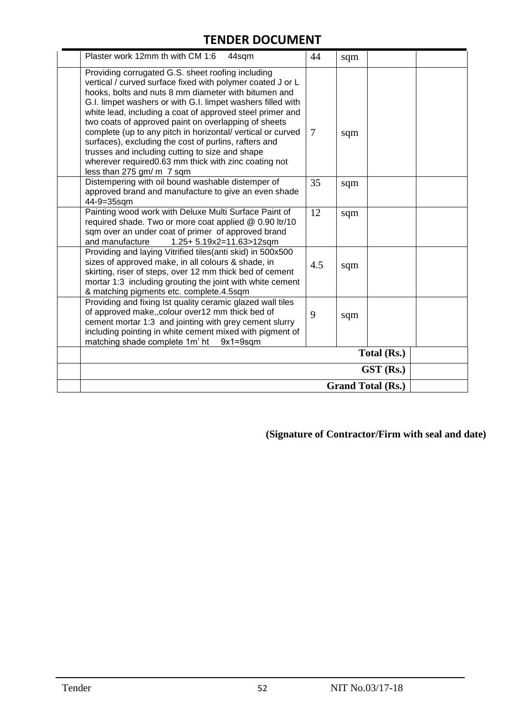| Plaster work 12mm th with CM 1:6<br>44sqm                                                                                                                                                                                                                                                                                                                                                                                                                                                                                                                                                                                   | 44  | sqm |           |  |  |
|-----------------------------------------------------------------------------------------------------------------------------------------------------------------------------------------------------------------------------------------------------------------------------------------------------------------------------------------------------------------------------------------------------------------------------------------------------------------------------------------------------------------------------------------------------------------------------------------------------------------------------|-----|-----|-----------|--|--|
| Providing corrugated G.S. sheet roofing including<br>vertical / curved surface fixed with polymer coated J or L<br>hooks, bolts and nuts 8 mm diameter with bitumen and<br>G.I. limpet washers or with G.I. limpet washers filled with<br>white lead, including a coat of approved steel primer and<br>two coats of approved paint on overlapping of sheets<br>complete (up to any pitch in horizontal/ vertical or curved<br>surfaces), excluding the cost of purlins, rafters and<br>trusses and including cutting to size and shape<br>wherever required0.63 mm thick with zinc coating not<br>less than 275 gm/ m 7 sqm | 7   | sqm |           |  |  |
| Distempering with oil bound washable distemper of<br>approved brand and manufacture to give an even shade<br>44-9=35sqm                                                                                                                                                                                                                                                                                                                                                                                                                                                                                                     | 35  | sqm |           |  |  |
| Painting wood work with Deluxe Multi Surface Paint of<br>required shade. Two or more coat applied @ 0.90 ltr/10<br>sqm over an under coat of primer of approved brand<br>and manufacture<br>1.25+ 5.19x2=11.63>12sqm                                                                                                                                                                                                                                                                                                                                                                                                        | 12  | sqm |           |  |  |
| Providing and laying Vitrified tiles(anti skid) in 500x500<br>sizes of approved make, in all colours & shade, in<br>skirting, riser of steps, over 12 mm thick bed of cement<br>mortar 1:3 including grouting the joint with white cement<br>& matching pigments etc. complete.4.5sqm                                                                                                                                                                                                                                                                                                                                       | 4.5 | sqm |           |  |  |
| Providing and fixing Ist quality ceramic glazed wall tiles<br>of approved make,, colour over12 mm thick bed of<br>cement mortar 1:3 and jointing with grey cement slurry<br>including pointing in white cement mixed with pigment of<br>matching shade complete 1m' ht<br>$9x1 = 9sqm$                                                                                                                                                                                                                                                                                                                                      | 9   | sqm |           |  |  |
| Total (Rs.)                                                                                                                                                                                                                                                                                                                                                                                                                                                                                                                                                                                                                 |     |     |           |  |  |
|                                                                                                                                                                                                                                                                                                                                                                                                                                                                                                                                                                                                                             |     |     | GST (Rs.) |  |  |
| <b>Grand Total (Rs.)</b>                                                                                                                                                                                                                                                                                                                                                                                                                                                                                                                                                                                                    |     |     |           |  |  |

**(Signature of Contractor/Firm with seal and date)**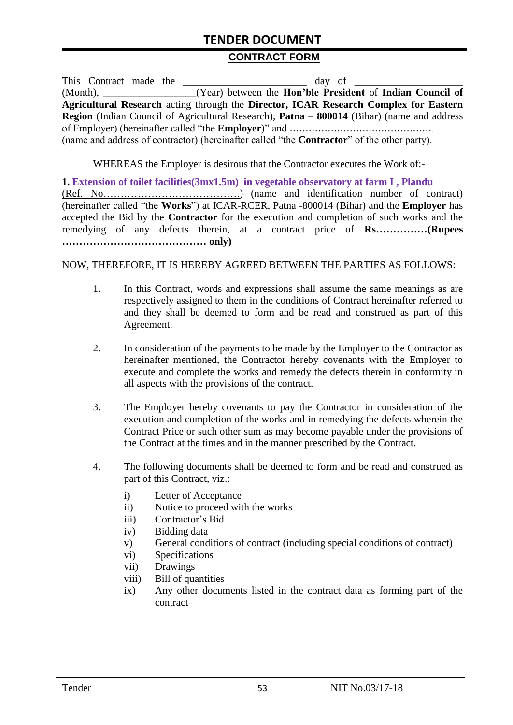#### **CONTRACT FORM**

|             |  | This Contract made the<br>day of                                                                         |
|-------------|--|----------------------------------------------------------------------------------------------------------|
| $(Month)$ , |  | (Year) between the Hon'ble President of Indian Council of                                                |
|             |  | Agricultural Research acting through the Director, ICAR Research Complex for Eastern                     |
|             |  | <b>Region</b> (Indian Council of Agricultural Research), <b>Patna – 800014</b> (Bihar) (name and address |
|             |  |                                                                                                          |
|             |  | (name and address of contractor) (hereinafter called "the <b>Contractor</b> " of the other party).       |

WHEREAS the Employer is desirous that the Contractor executes the Work of:-

**1. Extension of toilet facilities(3mx1.5m) in vegetable observatory at farm I , Plandu** (Ref. No………………………………….) (name and identification number of contract) (hereinafter called "the **Works**") at ICAR-RCER, Patna -800014 (Bihar) and the **Employer** has accepted the Bid by the **Contractor** for the execution and completion of such works and the remedying of any defects therein, at a contract price of **Rs……………(Rupees …………………………………… only)**

#### NOW, THEREFORE, IT IS HEREBY AGREED BETWEEN THE PARTIES AS FOLLOWS:

- 1. In this Contract, words and expressions shall assume the same meanings as are respectively assigned to them in the conditions of Contract hereinafter referred to and they shall be deemed to form and be read and construed as part of this Agreement.
- 2. In consideration of the payments to be made by the Employer to the Contractor as hereinafter mentioned, the Contractor hereby covenants with the Employer to execute and complete the works and remedy the defects therein in conformity in all aspects with the provisions of the contract.
- 3. The Employer hereby covenants to pay the Contractor in consideration of the execution and completion of the works and in remedying the defects wherein the Contract Price or such other sum as may become payable under the provisions of the Contract at the times and in the manner prescribed by the Contract.
- 4. The following documents shall be deemed to form and be read and construed as part of this Contract, viz.:
	- i) Letter of Acceptance
	- ii) Notice to proceed with the works
	- iii) Contractor's Bid
	- iv) Bidding data
	- v) General conditions of contract (including special conditions of contract)
	- vi) Specifications
	- vii) Drawings
	- viii) Bill of quantities
	- ix) Any other documents listed in the contract data as forming part of the contract